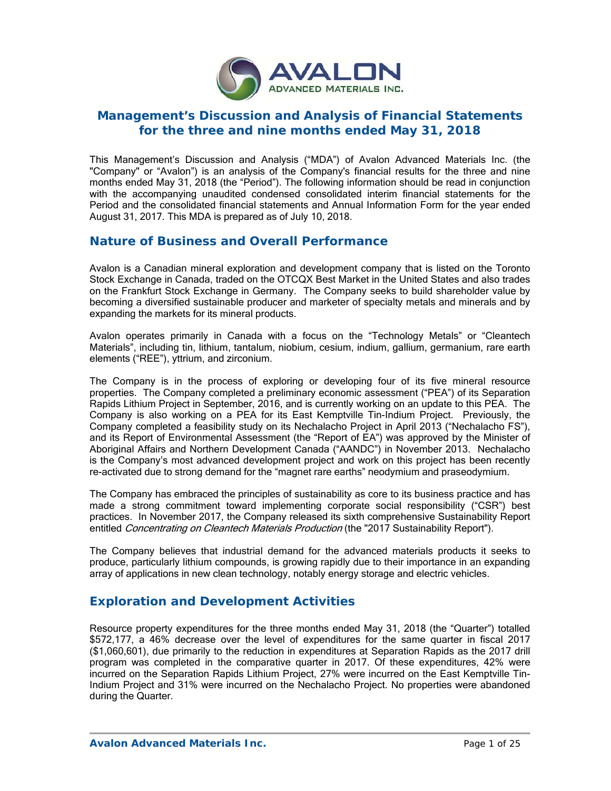

# **Management's Discussion and Analysis of Financial Statements for the three and nine months ended May 31, 2018**

This Management's Discussion and Analysis ("MDA") of Avalon Advanced Materials Inc. (the "Company" or "Avalon") is an analysis of the Company's financial results for the three and nine months ended May 31, 2018 (the "Period"). The following information should be read in conjunction with the accompanying unaudited condensed consolidated interim financial statements for the Period and the consolidated financial statements and Annual Information Form for the year ended August 31, 2017. This MDA is prepared as of July 10, 2018.

# **Nature of Business and Overall Performance**

Avalon is a Canadian mineral exploration and development company that is listed on the Toronto Stock Exchange in Canada, traded on the OTCQX Best Market in the United States and also trades on the Frankfurt Stock Exchange in Germany. The Company seeks to build shareholder value by becoming a diversified sustainable producer and marketer of specialty metals and minerals and by expanding the markets for its mineral products.

Avalon operates primarily in Canada with a focus on the "Technology Metals" or "Cleantech Materials", including tin, lithium, tantalum, niobium, cesium, indium, gallium, germanium, rare earth elements ("REE"), yttrium, and zirconium.

The Company is in the process of exploring or developing four of its five mineral resource properties. The Company completed a preliminary economic assessment ("PEA") of its Separation Rapids Lithium Project in September, 2016, and is currently working on an update to this PEA. The Company is also working on a PEA for its East Kemptville Tin-Indium Project. Previously, the Company completed a feasibility study on its Nechalacho Project in April 2013 ("Nechalacho FS"), and its Report of Environmental Assessment (the "Report of EA") was approved by the Minister of Aboriginal Affairs and Northern Development Canada ("AANDC") in November 2013. Nechalacho is the Company's most advanced development project and work on this project has been recently re-activated due to strong demand for the "magnet rare earths" neodymium and praseodymium.

The Company has embraced the principles of sustainability as core to its business practice and has made a strong commitment toward implementing corporate social responsibility ("CSR") best practices. In November 2017, the Company released its sixth comprehensive Sustainability Report entitled Concentrating on Cleantech Materials Production (the "2017 Sustainability Report").

The Company believes that industrial demand for the advanced materials products it seeks to produce, particularly lithium compounds, is growing rapidly due to their importance in an expanding array of applications in new clean technology, notably energy storage and electric vehicles.

# **Exploration and Development Activities**

Resource property expenditures for the three months ended May 31, 2018 (the "Quarter") totalled \$572,177, a 46% decrease over the level of expenditures for the same quarter in fiscal 2017 (\$1,060,601), due primarily to the reduction in expenditures at Separation Rapids as the 2017 drill program was completed in the comparative quarter in 2017. Of these expenditures, 42% were incurred on the Separation Rapids Lithium Project, 27% were incurred on the East Kemptville Tin-Indium Project and 31% were incurred on the Nechalacho Project. No properties were abandoned during the Quarter.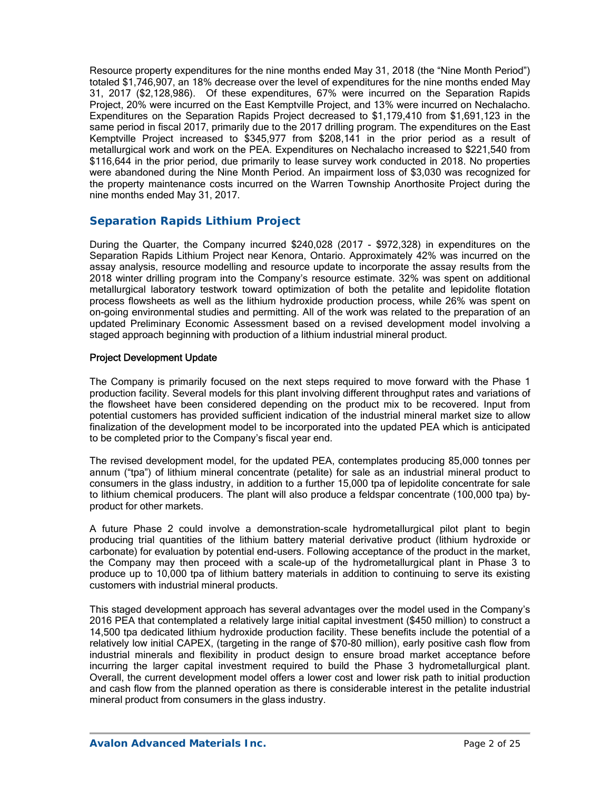Resource property expenditures for the nine months ended May 31, 2018 (the "Nine Month Period") totaled \$1,746,907, an 18% decrease over the level of expenditures for the nine months ended May 31, 2017 (\$2,128,986). Of these expenditures, 67% were incurred on the Separation Rapids Project, 20% were incurred on the East Kemptville Project, and 13% were incurred on Nechalacho. Expenditures on the Separation Rapids Project decreased to \$1,179,410 from \$1,691,123 in the same period in fiscal 2017, primarily due to the 2017 drilling program. The expenditures on the East Kemptville Project increased to \$345,977 from \$208,141 in the prior period as a result of metallurgical work and work on the PEA. Expenditures on Nechalacho increased to \$221,540 from \$116,644 in the prior period, due primarily to lease survey work conducted in 2018. No properties were abandoned during the Nine Month Period. An impairment loss of \$3,030 was recognized for the property maintenance costs incurred on the Warren Township Anorthosite Project during the nine months ended May 31, 2017.

## *Separation Rapids Lithium Project*

During the Quarter, the Company incurred \$240,028 (2017 - \$972,328) in expenditures on the Separation Rapids Lithium Project near Kenora, Ontario. Approximately 42% was incurred on the assay analysis, resource modelling and resource update to incorporate the assay results from the 2018 winter drilling program into the Company's resource estimate. 32% was spent on additional metallurgical laboratory testwork toward optimization of both the petalite and lepidolite flotation process flowsheets as well as the lithium hydroxide production process, while 26% was spent on on-going environmental studies and permitting. All of the work was related to the preparation of an updated Preliminary Economic Assessment based on a revised development model involving a staged approach beginning with production of a lithium industrial mineral product.

### Project Development Update

The Company is primarily focused on the next steps required to move forward with the Phase 1 production facility. Several models for this plant involving different throughput rates and variations of the flowsheet have been considered depending on the product mix to be recovered. Input from potential customers has provided sufficient indication of the industrial mineral market size to allow finalization of the development model to be incorporated into the updated PEA which is anticipated to be completed prior to the Company's fiscal year end.

The revised development model, for the updated PEA, contemplates producing 85,000 tonnes per annum ("tpa") of lithium mineral concentrate (petalite) for sale as an industrial mineral product to consumers in the glass industry, in addition to a further 15,000 tpa of lepidolite concentrate for sale to lithium chemical producers. The plant will also produce a feldspar concentrate (100,000 tpa) byproduct for other markets.

A future Phase 2 could involve a demonstration-scale hydrometallurgical pilot plant to begin producing trial quantities of the lithium battery material derivative product (lithium hydroxide or carbonate) for evaluation by potential end-users. Following acceptance of the product in the market, the Company may then proceed with a scale-up of the hydrometallurgical plant in Phase 3 to produce up to 10,000 tpa of lithium battery materials in addition to continuing to serve its existing customers with industrial mineral products.

This staged development approach has several advantages over the model used in the Company's 2016 PEA that contemplated a relatively large initial capital investment (\$450 million) to construct a 14,500 tpa dedicated lithium hydroxide production facility. These benefits include the potential of a relatively low initial CAPEX, (targeting in the range of \$70-80 million), early positive cash flow from industrial minerals and flexibility in product design to ensure broad market acceptance before incurring the larger capital investment required to build the Phase 3 hydrometallurgical plant. Overall, the current development model offers a lower cost and lower risk path to initial production and cash flow from the planned operation as there is considerable interest in the petalite industrial mineral product from consumers in the glass industry.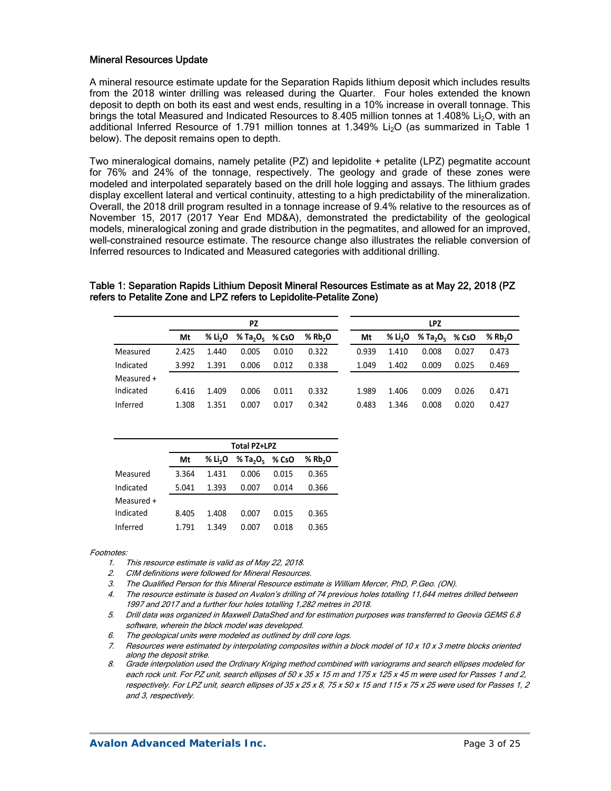### Mineral Resources Update

A mineral resource estimate update for the Separation Rapids lithium deposit which includes results from the 2018 winter drilling was released during the Quarter. Four holes extended the known deposit to depth on both its east and west ends, resulting in a 10% increase in overall tonnage. This brings the total Measured and Indicated Resources to 8.405 million tonnes at 1.408% Li<sub>2</sub>O, with an additional Inferred Resource of 1.791 million tonnes at 1.349%  $Li<sub>2</sub>O$  (as summarized in Table 1 below). The deposit remains open to depth.

Two mineralogical domains, namely petalite (PZ) and lepidolite + petalite (LPZ) pegmatite account for 76% and 24% of the tonnage, respectively. The geology and grade of these zones were modeled and interpolated separately based on the drill hole logging and assays. The lithium grades display excellent lateral and vertical continuity, attesting to a high predictability of the mineralization. Overall, the 2018 drill program resulted in a tonnage increase of 9.4% relative to the resources as of November 15, 2017 (2017 Year End MD&A), demonstrated the predictability of the geological models, mineralogical zoning and grade distribution in the pegmatites, and allowed for an improved, well-constrained resource estimate. The resource change also illustrates the reliable conversion of Inferred resources to Indicated and Measured categories with additional drilling.

#### Table 1: Separation Rapids Lithium Deposit Mineral Resources Estimate as at May 22, 2018 (PZ refers to Petalite Zone and LPZ refers to Lepidolite-Petalite Zone)

|            | <b>PZ</b> |                     |                                        |       |          | <b>LPZ</b> |                     |                                        |       |                       |  |
|------------|-----------|---------------------|----------------------------------------|-------|----------|------------|---------------------|----------------------------------------|-------|-----------------------|--|
|            | Mt        | % Li <sub>2</sub> O | % Ta <sub>2</sub> O <sub>5</sub> % CsO |       | % $Rb2O$ | Mt         | % Li <sub>2</sub> O | % Ta <sub>2</sub> O <sub>5</sub> % CsO |       | $%$ Rb <sub>2</sub> O |  |
| Measured   | 2.425     | 1.440               | 0.005                                  | 0.010 | 0.322    | 0.939      | 1.410               | 0.008                                  | 0.027 | 0.473                 |  |
| Indicated  | 3.992     | 1.391               | 0.006                                  | 0.012 | 0.338    | 1.049      | 1.402               | 0.009                                  | 0.025 | 0.469                 |  |
| Measured + |           |                     |                                        |       |          |            |                     |                                        |       |                       |  |
| Indicated  | 6.416     | 1.409               | 0.006                                  | 0.011 | 0.332    | 1.989      | 1.406               | 0.009                                  | 0.026 | 0.471                 |  |
| Inferred   | 1.308     | 1.351               | 0.007                                  | 0.017 | 0.342    | 0.483      | 1.346               | 0.008                                  | 0.020 | 0.427                 |  |

|            | Total PZ+LPZ |                     |                      |       |          |  |  |  |
|------------|--------------|---------------------|----------------------|-------|----------|--|--|--|
|            | Mt           | % Li <sub>2</sub> O | % Ta <sub>2</sub> Oς | % CsO | % $Rb2O$ |  |  |  |
| Measured   | 3.364        | 1.431               | 0.006                | 0.015 | 0.365    |  |  |  |
| Indicated  | 5.041        | 1.393               | 0.007                | 0.014 | 0.366    |  |  |  |
| Measured + |              |                     |                      |       |          |  |  |  |
| Indicated  | 8.405        | 1.408               | 0.007                | 0.015 | 0.365    |  |  |  |
| Inferred   | 1.791        | 1.349               | 0.007                | 0.018 | 0.365    |  |  |  |

#### Footnotes:

- 1. This resource estimate is valid as of May 22, 2018.
- 2. CIM definitions were followed for Mineral Resources.
- 3. The Qualified Person for this Mineral Resource estimate is William Mercer, PhD, P.Geo. (ON).
- 4. The resource estimate is based on Avalon's drilling of 74 previous holes totalling 11,644 metres drilled between 1997 and 2017 and a further four holes totalling 1,282 metres in 2018.
- 5. Drill data was organized in Maxwell DataShed and for estimation purposes was transferred to Geovia GEMS 6.8 software, wherein the block model was developed.
- 6. The geological units were modeled as outlined by drill core logs.
- 7. Resources were estimated by interpolating composites within a block model of 10 x 10 x 3 metre blocks oriented along the deposit strike.

8. Grade interpolation used the Ordinary Kriging method combined with variograms and search ellipses modeled for each rock unit. For PZ unit, search ellipses of 50 x 35 x 15 m and 175 x 125 x 45 m were used for Passes 1 and 2, respectively. For LPZ unit, search ellipses of 35 x 25 x 8, 75 x 50 x 15 and 115 x 75 x 25 were used for Passes 1, 2 and 3, respectively.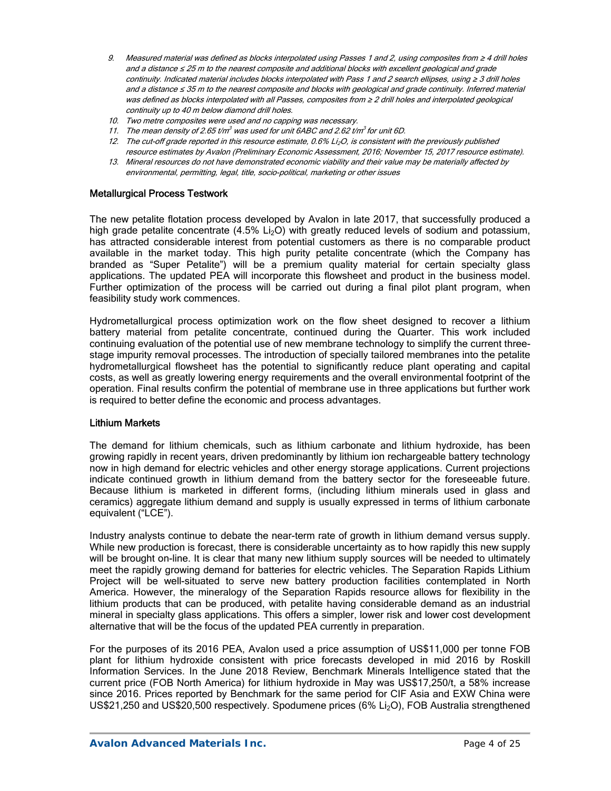- 9. Measured material was defined as blocks interpolated using Passes 1 and 2, using composites from ≥ 4 drill holes and a distance ≤ 25 m to the nearest composite and additional blocks with excellent geological and grade continuity. Indicated material includes blocks interpolated with Pass 1 and 2 search ellipses, using ≥ 3 drill holes and a distance ≤ 35 m to the nearest composite and blocks with geological and grade continuity. Inferred material was defined as blocks interpolated with all Passes, composites from ≥ 2 drill holes and interpolated geological continuity up to 40 m below diamond drill holes.
- 10. Two metre composites were used and no capping was necessary.
- 11. The mean density of 2.65 t/m<sup>3</sup> was used for unit 6ABC and 2.62 t/m<sup>3</sup> for unit 6D.
- 12. The cut-off grade reported in this resource estimate,  $0.6\%$  Li<sub>2</sub>O, is consistent with the previously published resource estimates by Avalon (Preliminary Economic Assessment, 2016; November 15, 2017 resource estimate).
- 13. Mineral resources do not have demonstrated economic viability and their value may be materially affected by environmental, permitting, legal, title, socio-political, marketing or other issues

#### Metallurgical Process Testwork

The new petalite flotation process developed by Avalon in late 2017, that successfully produced a high grade petalite concentrate (4.5% Li<sub>2</sub>O) with greatly reduced levels of sodium and potassium, has attracted considerable interest from potential customers as there is no comparable product available in the market today. This high purity petalite concentrate (which the Company has branded as "Super Petalite") will be a premium quality material for certain specialty glass applications. The updated PEA will incorporate this flowsheet and product in the business model. Further optimization of the process will be carried out during a final pilot plant program, when feasibility study work commences.

Hydrometallurgical process optimization work on the flow sheet designed to recover a lithium battery material from petalite concentrate, continued during the Quarter. This work included continuing evaluation of the potential use of new membrane technology to simplify the current threestage impurity removal processes. The introduction of specially tailored membranes into the petalite hydrometallurgical flowsheet has the potential to significantly reduce plant operating and capital costs, as well as greatly lowering energy requirements and the overall environmental footprint of the operation. Final results confirm the potential of membrane use in three applications but further work is required to better define the economic and process advantages.

#### Lithium Markets

The demand for lithium chemicals, such as lithium carbonate and lithium hydroxide, has been growing rapidly in recent years, driven predominantly by lithium ion rechargeable battery technology now in high demand for electric vehicles and other energy storage applications. Current projections indicate continued growth in lithium demand from the battery sector for the foreseeable future. Because lithium is marketed in different forms, (including lithium minerals used in glass and ceramics) aggregate lithium demand and supply is usually expressed in terms of lithium carbonate equivalent ("LCE").

Industry analysts continue to debate the near-term rate of growth in lithium demand versus supply. While new production is forecast, there is considerable uncertainty as to how rapidly this new supply will be brought on-line. It is clear that many new lithium supply sources will be needed to ultimately meet the rapidly growing demand for batteries for electric vehicles. The Separation Rapids Lithium Project will be well-situated to serve new battery production facilities contemplated in North America. However, the mineralogy of the Separation Rapids resource allows for flexibility in the lithium products that can be produced, with petalite having considerable demand as an industrial mineral in specialty glass applications. This offers a simpler, lower risk and lower cost development alternative that will be the focus of the updated PEA currently in preparation.

For the purposes of its 2016 PEA, Avalon used a price assumption of US\$11,000 per tonne FOB plant for lithium hydroxide consistent with price forecasts developed in mid 2016 by Roskill Information Services. In the June 2018 Review, Benchmark Minerals Intelligence stated that the current price (FOB North America) for lithium hydroxide in May was US\$17,250/t, a 58% increase since 2016. Prices reported by Benchmark for the same period for CIF Asia and EXW China were US\$21,250 and US\$20,500 respectively. Spodumene prices (6% Li<sub>2</sub>O), FOB Australia strengthened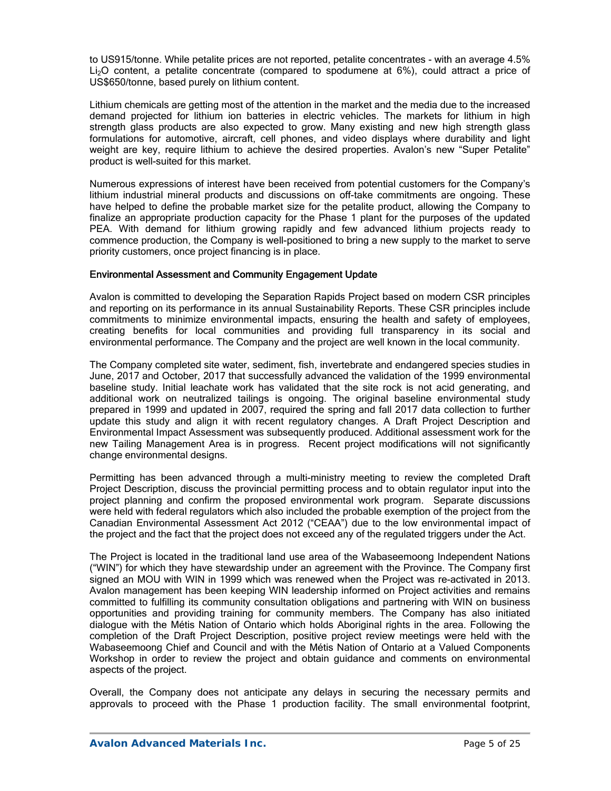to US915/tonne. While petalite prices are not reported, petalite concentrates - with an average 4.5% Li<sub>2</sub>O content, a petalite concentrate (compared to spodumene at 6%), could attract a price of US\$650/tonne, based purely on lithium content.

Lithium chemicals are getting most of the attention in the market and the media due to the increased demand projected for lithium ion batteries in electric vehicles. The markets for lithium in high strength glass products are also expected to grow. Many existing and new high strength glass formulations for automotive, aircraft, cell phones, and video displays where durability and light weight are key, require lithium to achieve the desired properties. Avalon's new "Super Petalite" product is well-suited for this market.

Numerous expressions of interest have been received from potential customers for the Company's lithium industrial mineral products and discussions on off-take commitments are ongoing. These have helped to define the probable market size for the petalite product, allowing the Company to finalize an appropriate production capacity for the Phase 1 plant for the purposes of the updated PEA. With demand for lithium growing rapidly and few advanced lithium projects ready to commence production, the Company is well-positioned to bring a new supply to the market to serve priority customers, once project financing is in place.

### Environmental Assessment and Community Engagement Update

Avalon is committed to developing the Separation Rapids Project based on modern CSR principles and reporting on its performance in its annual Sustainability Reports. These CSR principles include commitments to minimize environmental impacts, ensuring the health and safety of employees, creating benefits for local communities and providing full transparency in its social and environmental performance. The Company and the project are well known in the local community.

The Company completed site water, sediment, fish, invertebrate and endangered species studies in June, 2017 and October, 2017 that successfully advanced the validation of the 1999 environmental baseline study. Initial leachate work has validated that the site rock is not acid generating, and additional work on neutralized tailings is ongoing. The original baseline environmental study prepared in 1999 and updated in 2007, required the spring and fall 2017 data collection to further update this study and align it with recent regulatory changes. A Draft Project Description and Environmental Impact Assessment was subsequently produced. Additional assessment work for the new Tailing Management Area is in progress. Recent project modifications will not significantly change environmental designs.

Permitting has been advanced through a multi-ministry meeting to review the completed Draft Project Description, discuss the provincial permitting process and to obtain regulator input into the project planning and confirm the proposed environmental work program. Separate discussions were held with federal regulators which also included the probable exemption of the project from the Canadian Environmental Assessment Act 2012 ("CEAA") due to the low environmental impact of the project and the fact that the project does not exceed any of the regulated triggers under the Act.

The Project is located in the traditional land use area of the Wabaseemoong Independent Nations ("WIN") for which they have stewardship under an agreement with the Province. The Company first signed an MOU with WIN in 1999 which was renewed when the Project was re-activated in 2013. Avalon management has been keeping WIN leadership informed on Project activities and remains committed to fulfilling its community consultation obligations and partnering with WIN on business opportunities and providing training for community members. The Company has also initiated dialogue with the Métis Nation of Ontario which holds Aboriginal rights in the area. Following the completion of the Draft Project Description, positive project review meetings were held with the Wabaseemoong Chief and Council and with the Métis Nation of Ontario at a Valued Components Workshop in order to review the project and obtain guidance and comments on environmental aspects of the project.

Overall, the Company does not anticipate any delays in securing the necessary permits and approvals to proceed with the Phase 1 production facility. The small environmental footprint,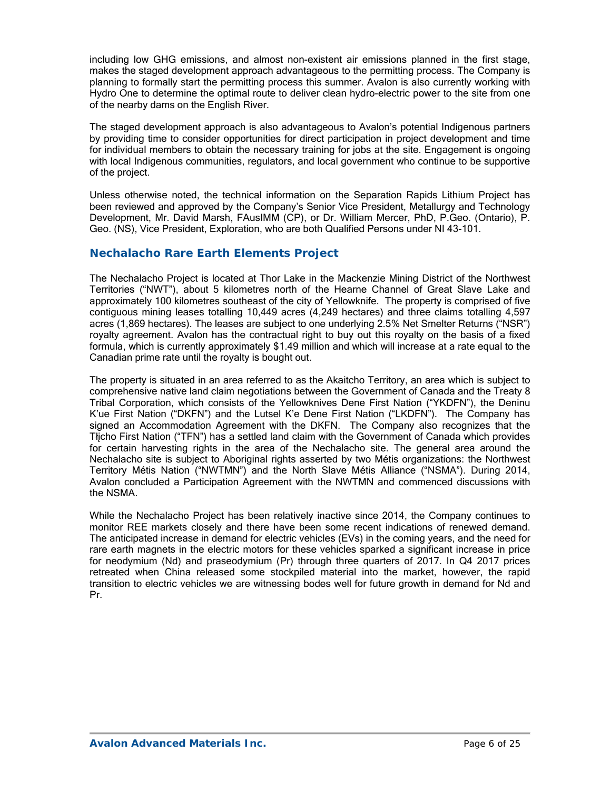including low GHG emissions, and almost non-existent air emissions planned in the first stage, makes the staged development approach advantageous to the permitting process. The Company is planning to formally start the permitting process this summer. Avalon is also currently working with Hydro One to determine the optimal route to deliver clean hydro-electric power to the site from one of the nearby dams on the English River.

The staged development approach is also advantageous to Avalon's potential Indigenous partners by providing time to consider opportunities for direct participation in project development and time for individual members to obtain the necessary training for jobs at the site. Engagement is ongoing with local Indigenous communities, regulators, and local government who continue to be supportive of the project.

Unless otherwise noted, the technical information on the Separation Rapids Lithium Project has been reviewed and approved by the Company's Senior Vice President, Metallurgy and Technology Development, Mr. David Marsh, FAusIMM (CP), or Dr. William Mercer, PhD, P.Geo. (Ontario), P. Geo. (NS), Vice President, Exploration, who are both Qualified Persons under NI 43-101.

## **Nechalacho Rare Earth Elements Project**

The Nechalacho Project is located at Thor Lake in the Mackenzie Mining District of the Northwest Territories ("NWT"), about 5 kilometres north of the Hearne Channel of Great Slave Lake and approximately 100 kilometres southeast of the city of Yellowknife. The property is comprised of five contiguous mining leases totalling 10,449 acres (4,249 hectares) and three claims totalling 4,597 acres (1,869 hectares). The leases are subject to one underlying 2.5% Net Smelter Returns ("NSR") royalty agreement. Avalon has the contractual right to buy out this royalty on the basis of a fixed formula, which is currently approximately \$1.49 million and which will increase at a rate equal to the Canadian prime rate until the royalty is bought out.

The property is situated in an area referred to as the Akaitcho Territory, an area which is subject to comprehensive native land claim negotiations between the Government of Canada and the Treaty 8 Tribal Corporation, which consists of the Yellowknives Dene First Nation ("YKDFN"), the Deninu K'ue First Nation ("DKFN") and the Lutsel K'e Dene First Nation ("LKDFN"). The Company has signed an Accommodation Agreement with the DKFN. The Company also recognizes that the Tłįcho First Nation ("TFN") has a settled land claim with the Government of Canada which provides for certain harvesting rights in the area of the Nechalacho site. The general area around the Nechalacho site is subject to Aboriginal rights asserted by two Métis organizations: the Northwest Territory Métis Nation ("NWTMN") and the North Slave Métis Alliance ("NSMA"). During 2014, Avalon concluded a Participation Agreement with the NWTMN and commenced discussions with the NSMA.

While the Nechalacho Project has been relatively inactive since 2014, the Company continues to monitor REE markets closely and there have been some recent indications of renewed demand. The anticipated increase in demand for electric vehicles (EVs) in the coming years, and the need for rare earth magnets in the electric motors for these vehicles sparked a significant increase in price for neodymium (Nd) and praseodymium (Pr) through three quarters of 2017. In Q4 2017 prices retreated when China released some stockpiled material into the market, however, the rapid transition to electric vehicles we are witnessing bodes well for future growth in demand for Nd and Pr.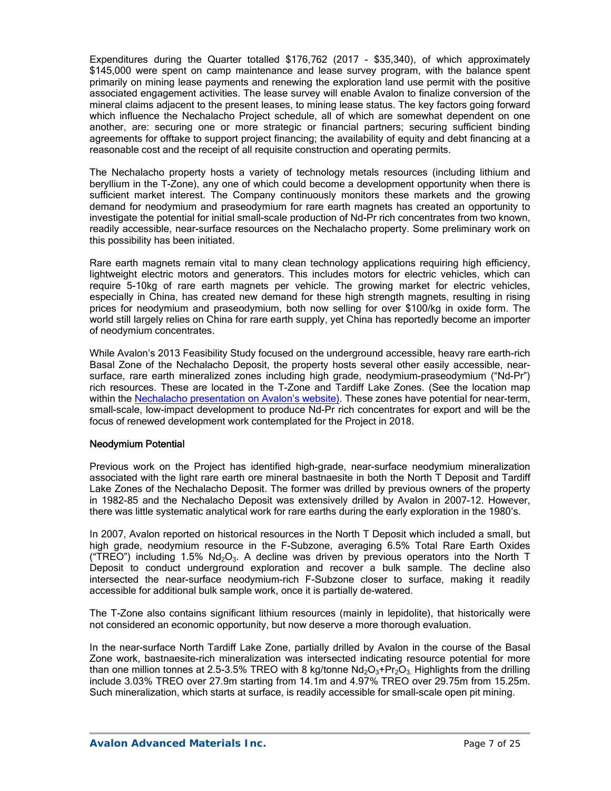Expenditures during the Quarter totalled \$176,762 (2017 - \$35,340), of which approximately \$145,000 were spent on camp maintenance and lease survey program, with the balance spent primarily on mining lease payments and renewing the exploration land use permit with the positive associated engagement activities. The lease survey will enable Avalon to finalize conversion of the mineral claims adjacent to the present leases, to mining lease status. The key factors going forward which influence the Nechalacho Project schedule, all of which are somewhat dependent on one another, are: securing one or more strategic or financial partners; securing sufficient binding agreements for offtake to support project financing; the availability of equity and debt financing at a reasonable cost and the receipt of all requisite construction and operating permits.

The Nechalacho property hosts a variety of technology metals resources (including lithium and beryllium in the T-Zone), any one of which could become a development opportunity when there is sufficient market interest. The Company continuously monitors these markets and the growing demand for neodymium and praseodymium for rare earth magnets has created an opportunity to investigate the potential for initial small-scale production of Nd-Pr rich concentrates from two known, readily accessible, near-surface resources on the Nechalacho property. Some preliminary work on this possibility has been initiated.

Rare earth magnets remain vital to many clean technology applications requiring high efficiency, lightweight electric motors and generators. This includes motors for electric vehicles, which can require 5-10kg of rare earth magnets per vehicle. The growing market for electric vehicles, especially in China, has created new demand for these high strength magnets, resulting in rising prices for neodymium and praseodymium, both now selling for over \$100/kg in oxide form. The world still largely relies on China for rare earth supply, yet China has reportedly become an importer of neodymium concentrates.

While Avalon's 2013 Feasibility Study focused on the underground accessible, heavy rare earth-rich Basal Zone of the Nechalacho Deposit, the property hosts several other easily accessible, nearsurface, rare earth mineralized zones including high grade, neodymium-praseodymium ("Nd-Pr") rich resources. These are located in the T-Zone and Tardiff Lake Zones. (See the location map within the Nechalacho presentation on Avalon's website). These zones have potential for near-term, small-scale, low-impact development to produce Nd-Pr rich concentrates for export and will be the focus of renewed development work contemplated for the Project in 2018.

### Neodymium Potential

Previous work on the Project has identified high-grade, near-surface neodymium mineralization associated with the light rare earth ore mineral bastnaesite in both the North T Deposit and Tardiff Lake Zones of the Nechalacho Deposit. The former was drilled by previous owners of the property in 1982-85 and the Nechalacho Deposit was extensively drilled by Avalon in 2007-12. However, there was little systematic analytical work for rare earths during the early exploration in the 1980's.

In 2007, Avalon reported on historical resources in the North T Deposit which included a small, but high grade, neodymium resource in the F-Subzone, averaging 6.5% Total Rare Earth Oxides ("TREO") including 1.5%  $Nd<sub>2</sub>O<sub>3</sub>$ . A decline was driven by previous operators into the North T Deposit to conduct underground exploration and recover a bulk sample. The decline also intersected the near-surface neodymium-rich F-Subzone closer to surface, making it readily accessible for additional bulk sample work, once it is partially de-watered.

The T-Zone also contains significant lithium resources (mainly in lepidolite), that historically were not considered an economic opportunity, but now deserve a more thorough evaluation.

In the near-surface North Tardiff Lake Zone, partially drilled by Avalon in the course of the Basal Zone work, bastnaesite-rich mineralization was intersected indicating resource potential for more than one million tonnes at 2.5-3.5% TREO with 8 kg/tonne  $Nd_2O_3+Pr_2O_3$ . Highlights from the drilling include 3.03% TREO over 27.9m starting from 14.1m and 4.97% TREO over 29.75m from 15.25m. Such mineralization, which starts at surface, is readily accessible for small-scale open pit mining.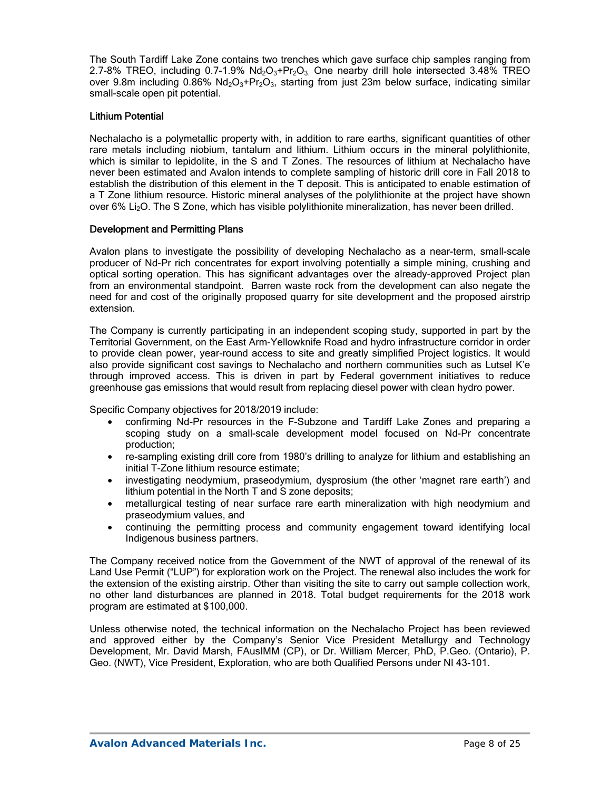The South Tardiff Lake Zone contains two trenches which gave surface chip samples ranging from 2.7-8% TREO, including 0.7-1.9%  $Nd_2O_3+Pr_2O_3$  One nearby drill hole intersected 3.48% TREO over 9.8m including 0.86%  $Nd_2O_3+Pr_2O_3$ , starting from just 23m below surface, indicating similar small-scale open pit potential.

### Lithium Potential

Nechalacho is a polymetallic property with, in addition to rare earths, significant quantities of other rare metals including niobium, tantalum and lithium. Lithium occurs in the mineral polylithionite, which is similar to lepidolite, in the S and T Zones. The resources of lithium at Nechalacho have never been estimated and Avalon intends to complete sampling of historic drill core in Fall 2018 to establish the distribution of this element in the T deposit. This is anticipated to enable estimation of a T Zone lithium resource. Historic mineral analyses of the polylithionite at the project have shown over 6% Li<sub>2</sub>O. The S Zone, which has visible polylithionite mineralization, has never been drilled.

### Development and Permitting Plans

Avalon plans to investigate the possibility of developing Nechalacho as a near-term, small-scale producer of Nd-Pr rich concentrates for export involving potentially a simple mining, crushing and optical sorting operation. This has significant advantages over the already-approved Project plan from an environmental standpoint. Barren waste rock from the development can also negate the need for and cost of the originally proposed quarry for site development and the proposed airstrip extension.

The Company is currently participating in an independent scoping study, supported in part by the Territorial Government, on the East Arm-Yellowknife Road and hydro infrastructure corridor in order to provide clean power, year-round access to site and greatly simplified Project logistics. It would also provide significant cost savings to Nechalacho and northern communities such as Lutsel K'e through improved access. This is driven in part by Federal government initiatives to reduce greenhouse gas emissions that would result from replacing diesel power with clean hydro power.

Specific Company objectives for 2018/2019 include:

- confirming Nd-Pr resources in the F-Subzone and Tardiff Lake Zones and preparing a scoping study on a small-scale development model focused on Nd-Pr concentrate production;
- re-sampling existing drill core from 1980's drilling to analyze for lithium and establishing an initial T-Zone lithium resource estimate;
- investigating neodymium, praseodymium, dysprosium (the other 'magnet rare earth') and lithium potential in the North T and S zone deposits;
- metallurgical testing of near surface rare earth mineralization with high neodymium and praseodymium values, and
- continuing the permitting process and community engagement toward identifying local Indigenous business partners.

The Company received notice from the Government of the NWT of approval of the renewal of its Land Use Permit ("LUP") for exploration work on the Project. The renewal also includes the work for the extension of the existing airstrip. Other than visiting the site to carry out sample collection work, no other land disturbances are planned in 2018. Total budget requirements for the 2018 work program are estimated at \$100,000.

Unless otherwise noted, the technical information on the Nechalacho Project has been reviewed and approved either by the Company's Senior Vice President Metallurgy and Technology Development, Mr. David Marsh, FAusIMM (CP), or Dr. William Mercer, PhD, P.Geo. (Ontario), P. Geo. (NWT), Vice President, Exploration, who are both Qualified Persons under NI 43-101.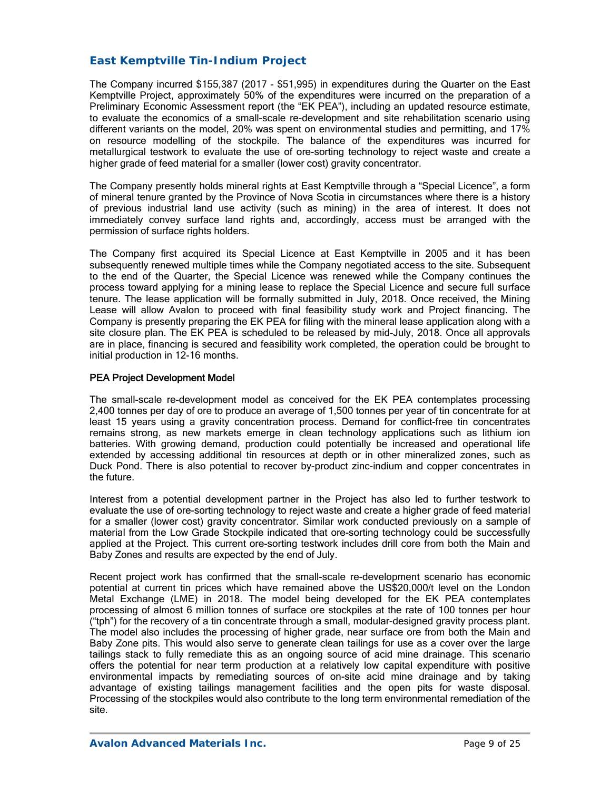## *East Kemptville Tin-Indium Project*

The Company incurred \$155,387 (2017 - \$51,995) in expenditures during the Quarter on the East Kemptville Project, approximately 50% of the expenditures were incurred on the preparation of a Preliminary Economic Assessment report (the "EK PEA"), including an updated resource estimate, to evaluate the economics of a small-scale re-development and site rehabilitation scenario using different variants on the model, 20% was spent on environmental studies and permitting, and 17% on resource modelling of the stockpile. The balance of the expenditures was incurred for metallurgical testwork to evaluate the use of ore-sorting technology to reject waste and create a higher grade of feed material for a smaller (lower cost) gravity concentrator.

The Company presently holds mineral rights at East Kemptville through a "Special Licence", a form of mineral tenure granted by the Province of Nova Scotia in circumstances where there is a history of previous industrial land use activity (such as mining) in the area of interest. It does not immediately convey surface land rights and, accordingly, access must be arranged with the permission of surface rights holders.

The Company first acquired its Special Licence at East Kemptville in 2005 and it has been subsequently renewed multiple times while the Company negotiated access to the site. Subsequent to the end of the Quarter, the Special Licence was renewed while the Company continues the process toward applying for a mining lease to replace the Special Licence and secure full surface tenure. The lease application will be formally submitted in July, 2018. Once received, the Mining Lease will allow Avalon to proceed with final feasibility study work and Project financing. The Company is presently preparing the EK PEA for filing with the mineral lease application along with a site closure plan. The EK PEA is scheduled to be released by mid-July, 2018. Once all approvals are in place, financing is secured and feasibility work completed, the operation could be brought to initial production in 12-16 months.

### PEA Project Development Model

The small-scale re-development model as conceived for the EK PEA contemplates processing 2,400 tonnes per day of ore to produce an average of 1,500 tonnes per year of tin concentrate for at least 15 years using a gravity concentration process. Demand for conflict-free tin concentrates remains strong, as new markets emerge in clean technology applications such as lithium ion batteries. With growing demand, production could potentially be increased and operational life extended by accessing additional tin resources at depth or in other mineralized zones, such as Duck Pond. There is also potential to recover by-product zinc-indium and copper concentrates in the future.

Interest from a potential development partner in the Project has also led to further testwork to evaluate the use of ore-sorting technology to reject waste and create a higher grade of feed material for a smaller (lower cost) gravity concentrator. Similar work conducted previously on a sample of material from the Low Grade Stockpile indicated that ore-sorting technology could be successfully applied at the Project. This current ore-sorting testwork includes drill core from both the Main and Baby Zones and results are expected by the end of July.

Recent project work has confirmed that the small-scale re-development scenario has economic potential at current tin prices which have remained above the US\$20,000/t level on the London Metal Exchange (LME) in 2018. The model being developed for the EK PEA contemplates processing of almost 6 million tonnes of surface ore stockpiles at the rate of 100 tonnes per hour ("tph") for the recovery of a tin concentrate through a small, modular-designed gravity process plant. The model also includes the processing of higher grade, near surface ore from both the Main and Baby Zone pits. This would also serve to generate clean tailings for use as a cover over the large tailings stack to fully remediate this as an ongoing source of acid mine drainage. This scenario offers the potential for near term production at a relatively low capital expenditure with positive environmental impacts by remediating sources of on-site acid mine drainage and by taking advantage of existing tailings management facilities and the open pits for waste disposal. Processing of the stockpiles would also contribute to the long term environmental remediation of the site.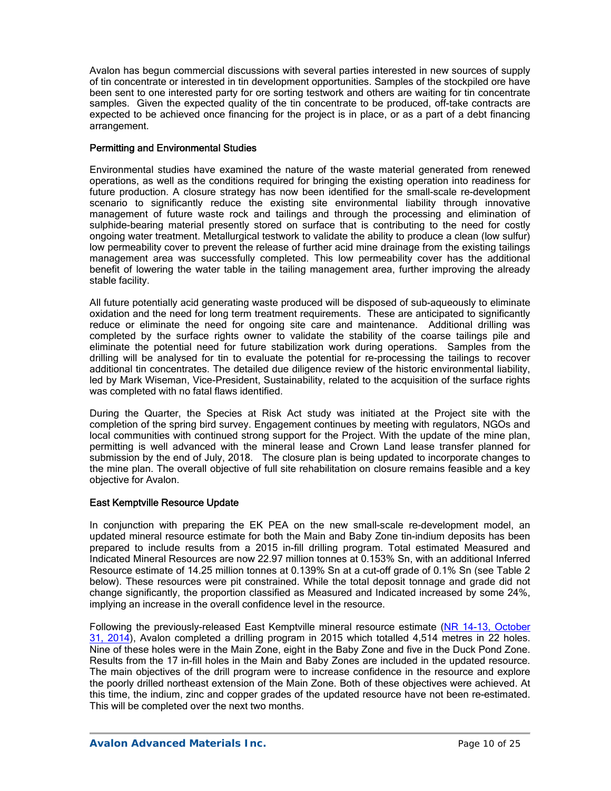Avalon has begun commercial discussions with several parties interested in new sources of supply of tin concentrate or interested in tin development opportunities. Samples of the stockpiled ore have been sent to one interested party for ore sorting testwork and others are waiting for tin concentrate samples. Given the expected quality of the tin concentrate to be produced, off-take contracts are expected to be achieved once financing for the project is in place, or as a part of a debt financing arrangement.

### Permitting and Environmental Studies

Environmental studies have examined the nature of the waste material generated from renewed operations, as well as the conditions required for bringing the existing operation into readiness for future production. A closure strategy has now been identified for the small-scale re-development scenario to significantly reduce the existing site environmental liability through innovative management of future waste rock and tailings and through the processing and elimination of sulphide-bearing material presently stored on surface that is contributing to the need for costly ongoing water treatment. Metallurgical testwork to validate the ability to produce a clean (low sulfur) low permeability cover to prevent the release of further acid mine drainage from the existing tailings management area was successfully completed. This low permeability cover has the additional benefit of lowering the water table in the tailing management area, further improving the already stable facility.

All future potentially acid generating waste produced will be disposed of sub-aqueously to eliminate oxidation and the need for long term treatment requirements. These are anticipated to significantly reduce or eliminate the need for ongoing site care and maintenance. Additional drilling was completed by the surface rights owner to validate the stability of the coarse tailings pile and eliminate the potential need for future stabilization work during operations. Samples from the drilling will be analysed for tin to evaluate the potential for re-processing the tailings to recover additional tin concentrates. The detailed due diligence review of the historic environmental liability, led by Mark Wiseman, Vice-President, Sustainability, related to the acquisition of the surface rights was completed with no fatal flaws identified.

During the Quarter, the Species at Risk Act study was initiated at the Project site with the completion of the spring bird survey. Engagement continues by meeting with regulators, NGOs and local communities with continued strong support for the Project. With the update of the mine plan, permitting is well advanced with the mineral lease and Crown Land lease transfer planned for submission by the end of July, 2018. The closure plan is being updated to incorporate changes to the mine plan. The overall objective of full site rehabilitation on closure remains feasible and a key objective for Avalon.

## East Kemptville Resource Update

In conjunction with preparing the EK PEA on the new small-scale re-development model, an updated mineral resource estimate for both the Main and Baby Zone tin-indium deposits has been prepared to include results from a 2015 in-fill drilling program. Total estimated Measured and Indicated Mineral Resources are now 22.97 million tonnes at 0.153% Sn, with an additional Inferred Resource estimate of 14.25 million tonnes at 0.139% Sn at a cut-off grade of 0.1% Sn (see Table 2 below). These resources were pit constrained. While the total deposit tonnage and grade did not change significantly, the proportion classified as Measured and Indicated increased by some 24%, implying an increase in the overall confidence level in the resource.

Following the previously-released East Kemptville mineral resource estimate (NR 14-13, October 31, 2014), Avalon completed a drilling program in 2015 which totalled 4,514 metres in 22 holes. Nine of these holes were in the Main Zone, eight in the Baby Zone and five in the Duck Pond Zone. Results from the 17 in-fill holes in the Main and Baby Zones are included in the updated resource. The main objectives of the drill program were to increase confidence in the resource and explore the poorly drilled northeast extension of the Main Zone. Both of these objectives were achieved. At this time, the indium, zinc and copper grades of the updated resource have not been re-estimated. This will be completed over the next two months.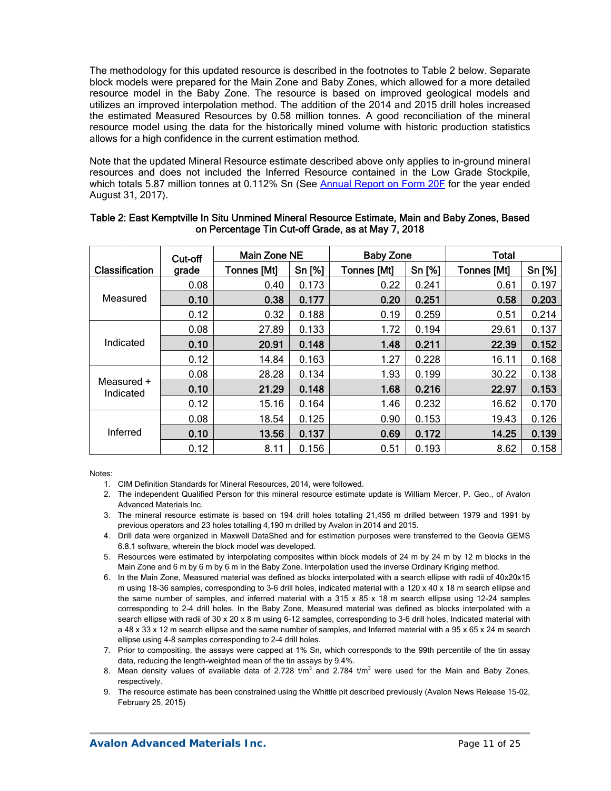The methodology for this updated resource is described in the footnotes to Table 2 below. Separate block models were prepared for the Main Zone and Baby Zones, which allowed for a more detailed resource model in the Baby Zone. The resource is based on improved geological models and utilizes an improved interpolation method. The addition of the 2014 and 2015 drill holes increased the estimated Measured Resources by 0.58 million tonnes. A good reconciliation of the mineral resource model using the data for the historically mined volume with historic production statistics allows for a high confidence in the current estimation method.

Note that the updated Mineral Resource estimate described above only applies to in-ground mineral resources and does not included the Inferred Resource contained in the Low Grade Stockpile, which totals 5.87 million tonnes at 0.112% Sn (See Annual Report on Form 20F for the year ended August 31, 2017).

|                         | Cut-off | Main Zone NE       |        | <b>Baby Zone</b>   |        | <b>Total</b>       |        |  |
|-------------------------|---------|--------------------|--------|--------------------|--------|--------------------|--------|--|
| <b>Classification</b>   | grade   | <b>Tonnes [Mt]</b> | Sn [%] | <b>Tonnes [Mt]</b> | Sn [%] | <b>Tonnes [Mt]</b> | Sn [%] |  |
|                         | 0.08    | 0.40               | 0.173  | 0.22               | 0.241  | 0.61               | 0.197  |  |
| Measured                | 0.10    | 0.38               | 0.177  | 0.20               | 0.251  | 0.58               | 0.203  |  |
|                         | 0.12    | 0.32               | 0.188  | 0.19               | 0.259  | 0.51               | 0.214  |  |
| Indicated               | 0.08    | 27.89              | 0.133  | 1.72               | 0.194  | 29.61              | 0.137  |  |
|                         | 0.10    | 20.91              | 0.148  | 1.48               | 0.211  | 22.39              | 0.152  |  |
|                         | 0.12    | 14.84              | 0.163  | 1.27               | 0.228  | 16.11              | 0.168  |  |
| Measured +<br>Indicated | 0.08    | 28.28              | 0.134  | 1.93               | 0.199  | 30.22              | 0.138  |  |
|                         | 0.10    | 21.29              | 0.148  | 1.68               | 0.216  | 22.97              | 0.153  |  |
|                         | 0.12    | 15.16              | 0.164  | 1.46               | 0.232  | 16.62              | 0.170  |  |
| Inferred                | 0.08    | 18.54              | 0.125  | 0.90               | 0.153  | 19.43              | 0.126  |  |
|                         | 0.10    | 13.56              | 0.137  | 0.69               | 0.172  | 14.25              | 0.139  |  |
|                         | 0.12    | 8.11               | 0.156  | 0.51               | 0.193  | 8.62               | 0.158  |  |

### Table 2: East Kemptville In Situ Unmined Mineral Resource Estimate, Main and Baby Zones, Based on Percentage Tin Cut-off Grade, as at May 7, 2018

Notes:

- 1. CIM Definition Standards for Mineral Resources, 2014, were followed.
- 2. The independent Qualified Person for this mineral resource estimate update is William Mercer, P. Geo., of Avalon Advanced Materials Inc.
- 3. The mineral resource estimate is based on 194 drill holes totalling 21,456 m drilled between 1979 and 1991 by previous operators and 23 holes totalling 4,190 m drilled by Avalon in 2014 and 2015.
- 4. Drill data were organized in Maxwell DataShed and for estimation purposes were transferred to the Geovia GEMS 6.8.1 software, wherein the block model was developed.
- 5. Resources were estimated by interpolating composites within block models of 24 m by 24 m by 12 m blocks in the Main Zone and 6 m by 6 m by 6 m in the Baby Zone. Interpolation used the inverse Ordinary Kriging method.
- 6. In the Main Zone, Measured material was defined as blocks interpolated with a search ellipse with radii of 40x20x15 m using 18-36 samples, corresponding to 3-6 drill holes, indicated material with a 120 x 40 x 18 m search ellipse and the same number of samples, and inferred material with a 315 x 85 x 18 m search ellipse using 12-24 samples corresponding to 2-4 drill holes. In the Baby Zone, Measured material was defined as blocks interpolated with a search ellipse with radii of 30 x 20 x 8 m using 6-12 samples, corresponding to 3-6 drill holes, Indicated material with a 48 x 33 x 12 m search ellipse and the same number of samples, and Inferred material with a 95 x 65 x 24 m search ellipse using 4-8 samples corresponding to 2-4 drill holes.
- 7. Prior to compositing, the assays were capped at 1% Sn, which corresponds to the 99th percentile of the tin assay data, reducing the length-weighted mean of the tin assays by 9.4%.
- 8. Mean density values of available data of 2.728  $t/m^3$  and 2.784  $t/m^3$  were used for the Main and Baby Zones, respectively.
- 9. The resource estimate has been constrained using the Whittle pit described previously (Avalon News Release 15-02, February 25, 2015)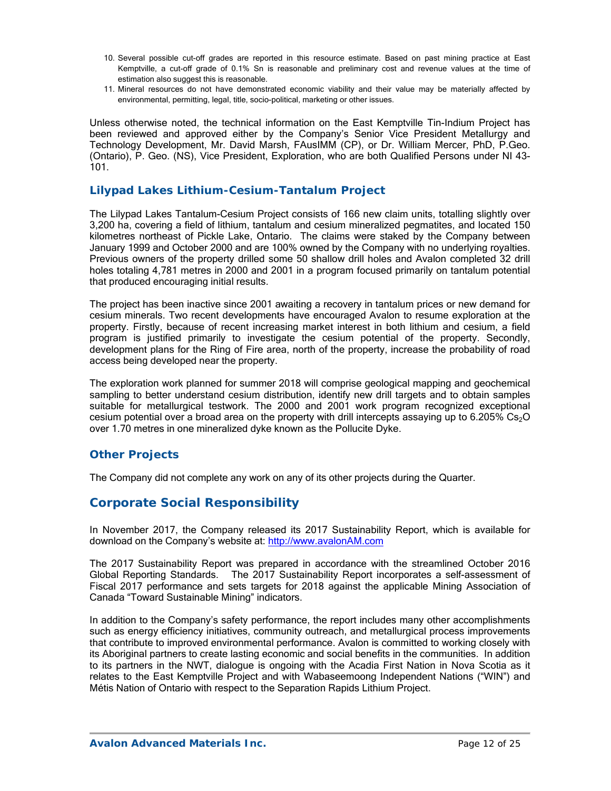- 10. Several possible cut-off grades are reported in this resource estimate. Based on past mining practice at East Kemptville, a cut-off grade of 0.1% Sn is reasonable and preliminary cost and revenue values at the time of estimation also suggest this is reasonable.
- 11. Mineral resources do not have demonstrated economic viability and their value may be materially affected by environmental, permitting, legal, title, socio-political, marketing or other issues.

Unless otherwise noted, the technical information on the East Kemptville Tin-Indium Project has been reviewed and approved either by the Company's Senior Vice President Metallurgy and Technology Development, Mr. David Marsh, FAusIMM (CP), or Dr. William Mercer, PhD, P.Geo. (Ontario), P. Geo. (NS), Vice President, Exploration, who are both Qualified Persons under NI 43- 101.

### *Lilypad Lakes Lithium-Cesium-Tantalum Project*

The Lilypad Lakes Tantalum-Cesium Project consists of 166 new claim units, totalling slightly over 3,200 ha, covering a field of lithium, tantalum and cesium mineralized pegmatites, and located 150 kilometres northeast of Pickle Lake, Ontario. The claims were staked by the Company between January 1999 and October 2000 and are 100% owned by the Company with no underlying royalties. Previous owners of the property drilled some 50 shallow drill holes and Avalon completed 32 drill holes totaling 4,781 metres in 2000 and 2001 in a program focused primarily on tantalum potential that produced encouraging initial results.

The project has been inactive since 2001 awaiting a recovery in tantalum prices or new demand for cesium minerals. Two recent developments have encouraged Avalon to resume exploration at the property. Firstly, because of recent increasing market interest in both lithium and cesium, a field program is justified primarily to investigate the cesium potential of the property. Secondly, development plans for the Ring of Fire area, north of the property, increase the probability of road access being developed near the property.

The exploration work planned for summer 2018 will comprise geological mapping and geochemical sampling to better understand cesium distribution, identify new drill targets and to obtain samples suitable for metallurgical testwork. The 2000 and 2001 work program recognized exceptional cesium potential over a broad area on the property with drill intercepts assaying up to 6.205% Cs<sub>2</sub>O over 1.70 metres in one mineralized dyke known as the Pollucite Dyke.

### *Other Projects*

The Company did not complete any work on any of its other projects during the Quarter.

# **Corporate Social Responsibility**

In November 2017, the Company released its 2017 Sustainability Report, which is available for download on the Company's website at: http://www.avalonAM.com

The 2017 Sustainability Report was prepared in accordance with the streamlined October 2016 Global Reporting Standards. The 2017 Sustainability Report incorporates a self-assessment of Fiscal 2017 performance and sets targets for 2018 against the applicable Mining Association of Canada "Toward Sustainable Mining" indicators.

In addition to the Company's safety performance, the report includes many other accomplishments such as energy efficiency initiatives, community outreach, and metallurgical process improvements that contribute to improved environmental performance. Avalon is committed to working closely with its Aboriginal partners to create lasting economic and social benefits in the communities. In addition to its partners in the NWT, dialogue is ongoing with the Acadia First Nation in Nova Scotia as it relates to the East Kemptville Project and with Wabaseemoong Independent Nations ("WIN") and Métis Nation of Ontario with respect to the Separation Rapids Lithium Project.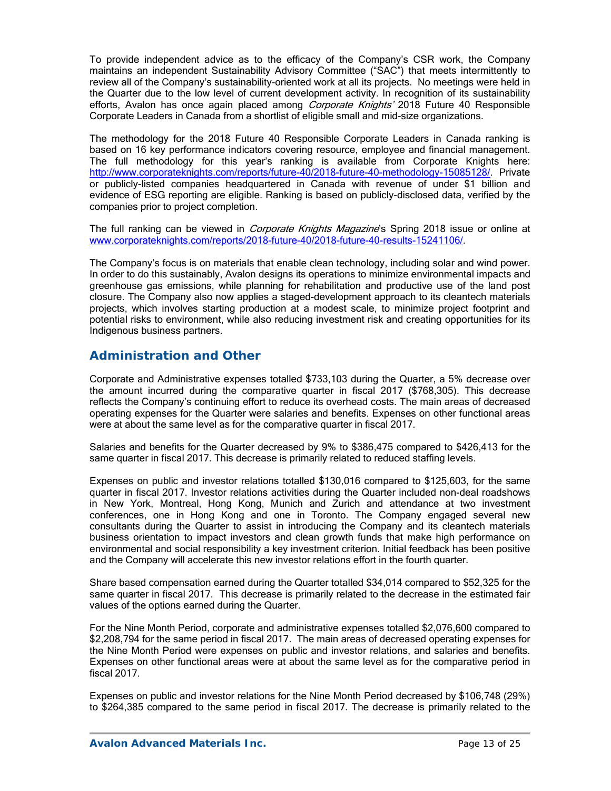To provide independent advice as to the efficacy of the Company's CSR work, the Company maintains an independent Sustainability Advisory Committee ("SAC") that meets intermittently to review all of the Company's sustainability-oriented work at all its projects. No meetings were held in the Quarter due to the low level of current development activity. In recognition of its sustainability efforts, Avalon has once again placed among Corporate Knights' 2018 Future 40 Responsible Corporate Leaders in Canada from a shortlist of eligible small and mid-size organizations.

The methodology for the 2018 Future 40 Responsible Corporate Leaders in Canada ranking is based on 16 key performance indicators covering resource, employee and financial management. The full methodology for this year's ranking is available from Corporate Knights here: http://www.corporateknights.com/reports/future-40/2018-future-40-methodology-15085128/. Private or publicly-listed companies headquartered in Canada with revenue of under \$1 billion and evidence of ESG reporting are eligible. Ranking is based on publicly-disclosed data, verified by the companies prior to project completion.

The full ranking can be viewed in *Corporate Knights Magazine*'s Spring 2018 issue or online at www.corporateknights.com/reports/2018-future-40/2018-future-40-results-15241106/.

The Company's focus is on materials that enable clean technology, including solar and wind power. In order to do this sustainably, Avalon designs its operations to minimize environmental impacts and greenhouse gas emissions, while planning for rehabilitation and productive use of the land post closure. The Company also now applies a staged-development approach to its cleantech materials projects, which involves starting production at a modest scale, to minimize project footprint and potential risks to environment, while also reducing investment risk and creating opportunities for its Indigenous business partners.

# **Administration and Other**

Corporate and Administrative expenses totalled \$733,103 during the Quarter, a 5% decrease over the amount incurred during the comparative quarter in fiscal 2017 (\$768,305). This decrease reflects the Company's continuing effort to reduce its overhead costs. The main areas of decreased operating expenses for the Quarter were salaries and benefits. Expenses on other functional areas were at about the same level as for the comparative quarter in fiscal 2017.

Salaries and benefits for the Quarter decreased by 9% to \$386,475 compared to \$426,413 for the same quarter in fiscal 2017. This decrease is primarily related to reduced staffing levels.

Expenses on public and investor relations totalled \$130,016 compared to \$125,603, for the same quarter in fiscal 2017. Investor relations activities during the Quarter included non-deal roadshows in New York, Montreal, Hong Kong, Munich and Zurich and attendance at two investment conferences, one in Hong Kong and one in Toronto. The Company engaged several new consultants during the Quarter to assist in introducing the Company and its cleantech materials business orientation to impact investors and clean growth funds that make high performance on environmental and social responsibility a key investment criterion. Initial feedback has been positive and the Company will accelerate this new investor relations effort in the fourth quarter.

Share based compensation earned during the Quarter totalled \$34,014 compared to \$52,325 for the same quarter in fiscal 2017. This decrease is primarily related to the decrease in the estimated fair values of the options earned during the Quarter.

For the Nine Month Period, corporate and administrative expenses totalled \$2,076,600 compared to \$2,208,794 for the same period in fiscal 2017. The main areas of decreased operating expenses for the Nine Month Period were expenses on public and investor relations, and salaries and benefits. Expenses on other functional areas were at about the same level as for the comparative period in fiscal 2017.

Expenses on public and investor relations for the Nine Month Period decreased by \$106,748 (29%) to \$264,385 compared to the same period in fiscal 2017. The decrease is primarily related to the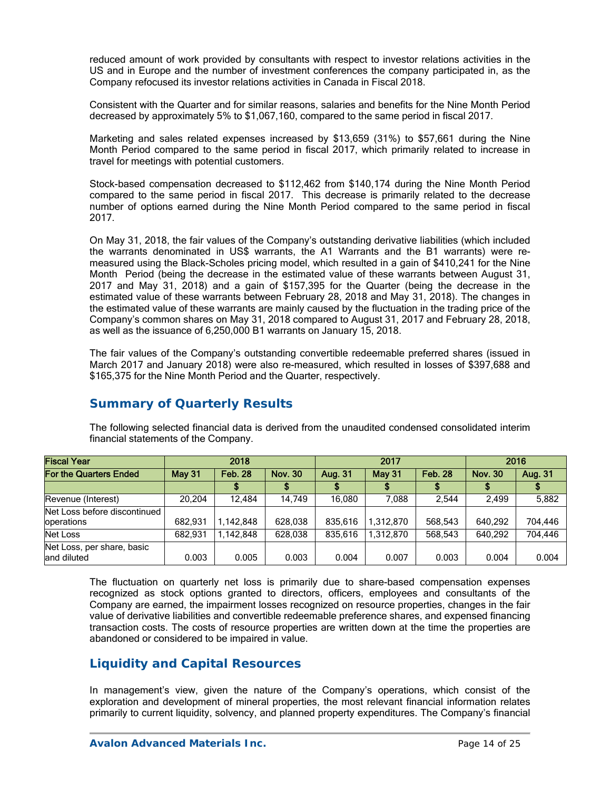reduced amount of work provided by consultants with respect to investor relations activities in the US and in Europe and the number of investment conferences the company participated in, as the Company refocused its investor relations activities in Canada in Fiscal 2018.

Consistent with the Quarter and for similar reasons, salaries and benefits for the Nine Month Period decreased by approximately 5% to \$1,067,160, compared to the same period in fiscal 2017.

Marketing and sales related expenses increased by \$13,659 (31%) to \$57,661 during the Nine Month Period compared to the same period in fiscal 2017, which primarily related to increase in travel for meetings with potential customers.

Stock-based compensation decreased to \$112,462 from \$140,174 during the Nine Month Period compared to the same period in fiscal 2017. This decrease is primarily related to the decrease number of options earned during the Nine Month Period compared to the same period in fiscal 2017.

On May 31, 2018, the fair values of the Company's outstanding derivative liabilities (which included the warrants denominated in US\$ warrants, the A1 Warrants and the B1 warrants) were remeasured using the Black-Scholes pricing model, which resulted in a gain of \$410,241 for the Nine Month Period (being the decrease in the estimated value of these warrants between August 31, 2017 and May 31, 2018) and a gain of \$157,395 for the Quarter (being the decrease in the estimated value of these warrants between February 28, 2018 and May 31, 2018). The changes in the estimated value of these warrants are mainly caused by the fluctuation in the trading price of the Company's common shares on May 31, 2018 compared to August 31, 2017 and February 28, 2018, as well as the issuance of 6,250,000 B1 warrants on January 15, 2018.

The fair values of the Company's outstanding convertible redeemable preferred shares (issued in March 2017 and January 2018) were also re-measured, which resulted in losses of \$397,688 and \$165,375 for the Nine Month Period and the Quarter, respectively.

| <b>Fiscal Year</b>                         |               | 2018                             |         |         | 2017          | 2016           |                |         |
|--------------------------------------------|---------------|----------------------------------|---------|---------|---------------|----------------|----------------|---------|
| For the Quarters Ended                     | <b>May 31</b> | <b>Feb. 28</b><br><b>Nov. 30</b> |         | Aug. 31 | <b>May 31</b> | <b>Feb. 28</b> | <b>Nov. 30</b> | Aug. 31 |
|                                            |               |                                  |         |         |               |                |                |         |
| Revenue (Interest)                         | 20.204        | 12.484                           | 14.749  | 16.080  | 7.088         | 2.544          | 2,499          | 5,882   |
| Net Loss before discontinued<br>operations | 682.931       | 1,142,848                        | 628,038 | 835.616 | 1,312,870     | 568,543        | 640.292        | 704,446 |
| Net Loss                                   | 682.931       | 1,142,848                        | 628,038 | 835.616 | 1,312,870     | 568,543        | 640.292        | 704,446 |
| Net Loss, per share, basic<br>land diluted | 0.003         | 0.005                            | 0.003   | 0.004   | 0.007         | 0.003          | 0.004          | 0.004   |

# **Summary of Quarterly Results**

The following selected financial data is derived from the unaudited condensed consolidated interim financial statements of the Company.

The fluctuation on quarterly net loss is primarily due to share-based compensation expenses recognized as stock options granted to directors, officers, employees and consultants of the Company are earned, the impairment losses recognized on resource properties, changes in the fair value of derivative liabilities and convertible redeemable preference shares, and expensed financing transaction costs. The costs of resource properties are written down at the time the properties are abandoned or considered to be impaired in value.

# **Liquidity and Capital Resources**

In management's view, given the nature of the Company's operations, which consist of the exploration and development of mineral properties, the most relevant financial information relates primarily to current liquidity, solvency, and planned property expenditures. The Company's financial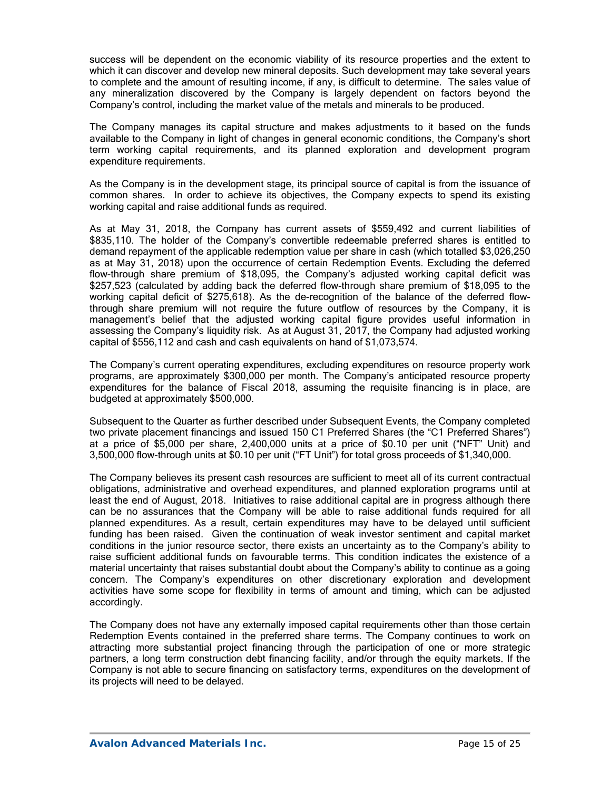success will be dependent on the economic viability of its resource properties and the extent to which it can discover and develop new mineral deposits. Such development may take several years to complete and the amount of resulting income, if any, is difficult to determine. The sales value of any mineralization discovered by the Company is largely dependent on factors beyond the Company's control, including the market value of the metals and minerals to be produced.

The Company manages its capital structure and makes adjustments to it based on the funds available to the Company in light of changes in general economic conditions, the Company's short term working capital requirements, and its planned exploration and development program expenditure requirements.

As the Company is in the development stage, its principal source of capital is from the issuance of common shares. In order to achieve its objectives, the Company expects to spend its existing working capital and raise additional funds as required.

As at May 31, 2018, the Company has current assets of \$559,492 and current liabilities of \$835,110. The holder of the Company's convertible redeemable preferred shares is entitled to demand repayment of the applicable redemption value per share in cash (which totalled \$3,026,250 as at May 31, 2018) upon the occurrence of certain Redemption Events. Excluding the deferred flow-through share premium of \$18,095, the Company's adjusted working capital deficit was \$257,523 (calculated by adding back the deferred flow-through share premium of \$18,095 to the working capital deficit of \$275,618). As the de-recognition of the balance of the deferred flowthrough share premium will not require the future outflow of resources by the Company, it is management's belief that the adjusted working capital figure provides useful information in assessing the Company's liquidity risk. As at August 31, 2017, the Company had adjusted working capital of \$556,112 and cash and cash equivalents on hand of \$1,073,574.

The Company's current operating expenditures, excluding expenditures on resource property work programs, are approximately \$300,000 per month. The Company's anticipated resource property expenditures for the balance of Fiscal 2018, assuming the requisite financing is in place, are budgeted at approximately \$500,000.

Subsequent to the Quarter as further described under Subsequent Events, the Company completed two private placement financings and issued 150 C1 Preferred Shares (the "C1 Preferred Shares") at a price of \$5,000 per share, 2,400,000 units at a price of \$0.10 per unit ("NFT" Unit) and 3,500,000 flow-through units at \$0.10 per unit ("FT Unit") for total gross proceeds of \$1,340,000.

The Company believes its present cash resources are sufficient to meet all of its current contractual obligations, administrative and overhead expenditures, and planned exploration programs until at least the end of August, 2018. Initiatives to raise additional capital are in progress although there can be no assurances that the Company will be able to raise additional funds required for all planned expenditures. As a result, certain expenditures may have to be delayed until sufficient funding has been raised. Given the continuation of weak investor sentiment and capital market conditions in the junior resource sector, there exists an uncertainty as to the Company's ability to raise sufficient additional funds on favourable terms. This condition indicates the existence of a material uncertainty that raises substantial doubt about the Company's ability to continue as a going concern. The Company's expenditures on other discretionary exploration and development activities have some scope for flexibility in terms of amount and timing, which can be adjusted accordingly.

The Company does not have any externally imposed capital requirements other than those certain Redemption Events contained in the preferred share terms. The Company continues to work on attracting more substantial project financing through the participation of one or more strategic partners, a long term construction debt financing facility, and/or through the equity markets. If the Company is not able to secure financing on satisfactory terms, expenditures on the development of its projects will need to be delayed.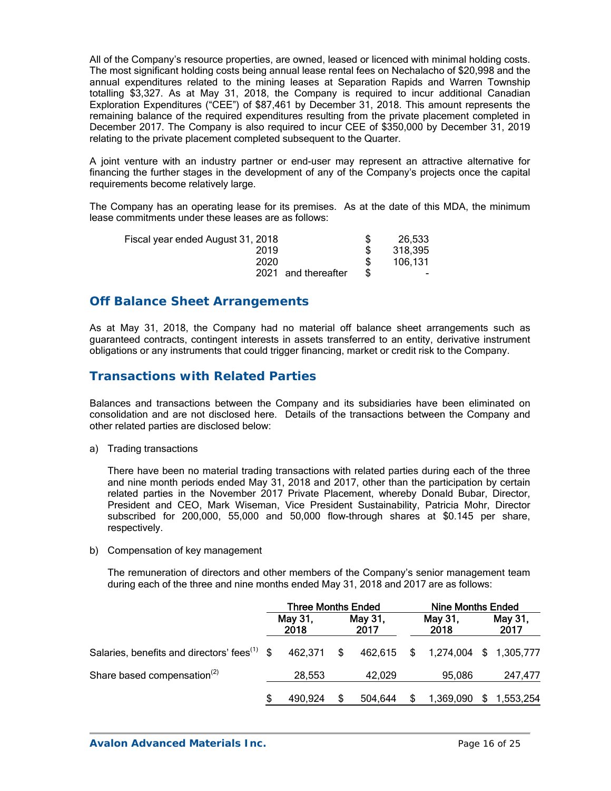All of the Company's resource properties, are owned, leased or licenced with minimal holding costs. The most significant holding costs being annual lease rental fees on Nechalacho of \$20,998 and the annual expenditures related to the mining leases at Separation Rapids and Warren Township totalling \$3,327. As at May 31, 2018, the Company is required to incur additional Canadian Exploration Expenditures ("CEE") of \$87,461 by December 31, 2018. This amount represents the remaining balance of the required expenditures resulting from the private placement completed in December 2017. The Company is also required to incur CEE of \$350,000 by December 31, 2019 relating to the private placement completed subsequent to the Quarter.

A joint venture with an industry partner or end-user may represent an attractive alternative for financing the further stages in the development of any of the Company's projects once the capital requirements become relatively large.

The Company has an operating lease for its premises. As at the date of this MDA, the minimum lease commitments under these leases are as follows:

| Fiscal year ended August 31, 2018 | 26,533  |
|-----------------------------------|---------|
| 2019                              | 318,395 |
| 2020                              | 106.131 |
| 2021 and thereafter               | -       |

## **Off Balance Sheet Arrangements**

As at May 31, 2018, the Company had no material off balance sheet arrangements such as guaranteed contracts, contingent interests in assets transferred to an entity, derivative instrument obligations or any instruments that could trigger financing, market or credit risk to the Company.

# **Transactions with Related Parties**

Balances and transactions between the Company and its subsidiaries have been eliminated on consolidation and are not disclosed here. Details of the transactions between the Company and other related parties are disclosed below:

a) Trading transactions

There have been no material trading transactions with related parties during each of the three and nine month periods ended May 31, 2018 and 2017, other than the participation by certain related parties in the November 2017 Private Placement, whereby Donald Bubar, Director, President and CEO, Mark Wiseman, Vice President Sustainability, Patricia Mohr, Director subscribed for 200,000, 55,000 and 50,000 flow-through shares at \$0.145 per share, respectively.

b) Compensation of key management

The remuneration of directors and other members of the Company's senior management team during each of the three and nine months ended May 31, 2018 and 2017 are as follows:

|                                                           | <b>Three Months Ended</b> |         |                 |         | <b>Nine Months Ended</b> |                                   |                 |             |
|-----------------------------------------------------------|---------------------------|---------|-----------------|---------|--------------------------|-----------------------------------|-----------------|-------------|
|                                                           | May 31,<br>2018           |         | May 31,<br>2017 |         | May 31,<br>2018          |                                   | May 31,<br>2017 |             |
| Salaries, benefits and directors' fees <sup>(1)</sup> $$$ |                           | 462.371 | -\$             |         |                          | 462,615 \$ 1,274,004 \$ 1,305,777 |                 |             |
| Share based compensation <sup>(2)</sup>                   |                           | 28,553  |                 | 42,029  |                          | 95.086                            |                 | 247,477     |
|                                                           |                           | 490.924 |                 | 504.644 |                          | 1,369,090                         |                 | \$1,553,254 |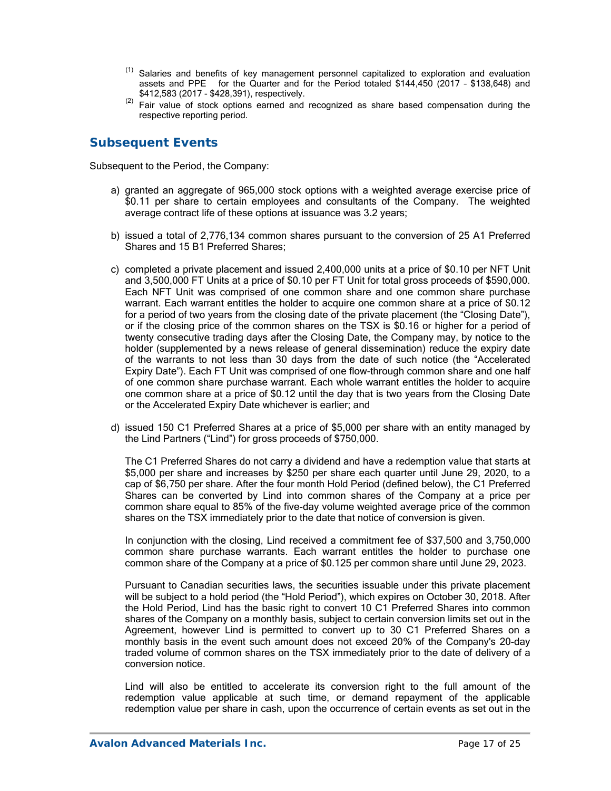- $(1)$  Salaries and benefits of key management personnel capitalized to exploration and evaluation assets and PPE for the Quarter and for the Period totaled \$144,450 (2017 – \$138,648) and
- \$412,583 (2017 \$428,391), respectively. (2) Fair value of stock options earned and recognized as share based compensation during the respective reporting period.

# **Subsequent Events**

Subsequent to the Period, the Company:

- a) granted an aggregate of 965,000 stock options with a weighted average exercise price of \$0.11 per share to certain employees and consultants of the Company. The weighted average contract life of these options at issuance was 3.2 years;
- b) issued a total of 2,776,134 common shares pursuant to the conversion of 25 A1 Preferred Shares and 15 B1 Preferred Shares;
- c) completed a private placement and issued 2,400,000 units at a price of \$0.10 per NFT Unit and 3,500,000 FT Units at a price of \$0.10 per FT Unit for total gross proceeds of \$590,000. Each NFT Unit was comprised of one common share and one common share purchase warrant. Each warrant entitles the holder to acquire one common share at a price of \$0.12 for a period of two years from the closing date of the private placement (the "Closing Date"), or if the closing price of the common shares on the TSX is \$0.16 or higher for a period of twenty consecutive trading days after the Closing Date, the Company may, by notice to the holder (supplemented by a news release of general dissemination) reduce the expiry date of the warrants to not less than 30 days from the date of such notice (the "Accelerated Expiry Date"). Each FT Unit was comprised of one flow-through common share and one half of one common share purchase warrant. Each whole warrant entitles the holder to acquire one common share at a price of \$0.12 until the day that is two years from the Closing Date or the Accelerated Expiry Date whichever is earlier; and
- d) issued 150 C1 Preferred Shares at a price of \$5,000 per share with an entity managed by the Lind Partners ("Lind") for gross proceeds of \$750,000.

The C1 Preferred Shares do not carry a dividend and have a redemption value that starts at \$5,000 per share and increases by \$250 per share each quarter until June 29, 2020, to a cap of \$6,750 per share. After the four month Hold Period (defined below), the C1 Preferred Shares can be converted by Lind into common shares of the Company at a price per common share equal to 85% of the five-day volume weighted average price of the common shares on the TSX immediately prior to the date that notice of conversion is given.

In conjunction with the closing, Lind received a commitment fee of \$37,500 and 3,750,000 common share purchase warrants. Each warrant entitles the holder to purchase one common share of the Company at a price of \$0.125 per common share until June 29, 2023.

Pursuant to Canadian securities laws, the securities issuable under this private placement will be subject to a hold period (the "Hold Period"), which expires on October 30, 2018. After the Hold Period, Lind has the basic right to convert 10 C1 Preferred Shares into common shares of the Company on a monthly basis, subject to certain conversion limits set out in the Agreement, however Lind is permitted to convert up to 30 C1 Preferred Shares on a monthly basis in the event such amount does not exceed 20% of the Company's 20-day traded volume of common shares on the TSX immediately prior to the date of delivery of a conversion notice.

Lind will also be entitled to accelerate its conversion right to the full amount of the redemption value applicable at such time, or demand repayment of the applicable redemption value per share in cash, upon the occurrence of certain events as set out in the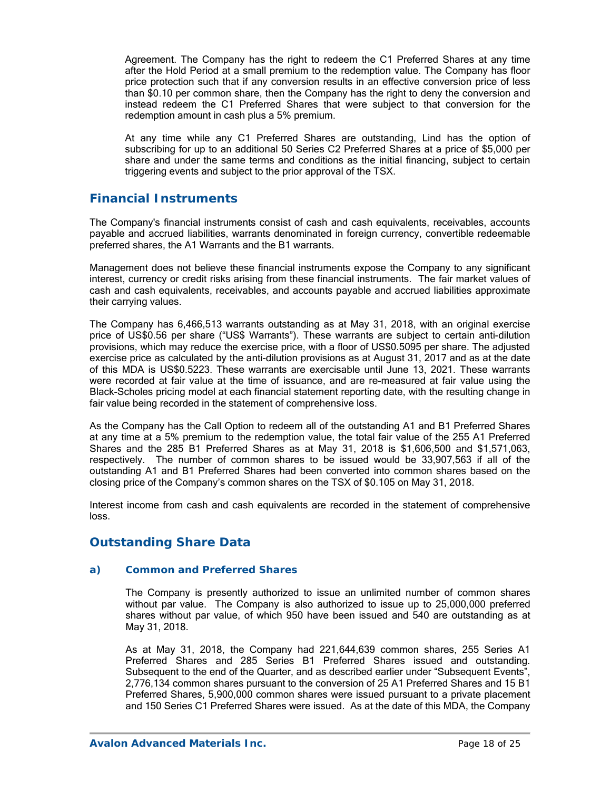Agreement. The Company has the right to redeem the C1 Preferred Shares at any time after the Hold Period at a small premium to the redemption value. The Company has floor price protection such that if any conversion results in an effective conversion price of less than \$0.10 per common share, then the Company has the right to deny the conversion and instead redeem the C1 Preferred Shares that were subject to that conversion for the redemption amount in cash plus a 5% premium.

At any time while any C1 Preferred Shares are outstanding, Lind has the option of subscribing for up to an additional 50 Series C2 Preferred Shares at a price of \$5,000 per share and under the same terms and conditions as the initial financing, subject to certain triggering events and subject to the prior approval of the TSX.

## **Financial Instruments**

The Company's financial instruments consist of cash and cash equivalents, receivables, accounts payable and accrued liabilities, warrants denominated in foreign currency, convertible redeemable preferred shares, the A1 Warrants and the B1 warrants.

Management does not believe these financial instruments expose the Company to any significant interest, currency or credit risks arising from these financial instruments. The fair market values of cash and cash equivalents, receivables, and accounts payable and accrued liabilities approximate their carrying values.

The Company has 6,466,513 warrants outstanding as at May 31, 2018, with an original exercise price of US\$0.56 per share ("US\$ Warrants"). These warrants are subject to certain anti-dilution provisions, which may reduce the exercise price, with a floor of US\$0.5095 per share. The adjusted exercise price as calculated by the anti-dilution provisions as at August 31, 2017 and as at the date of this MDA is US\$0.5223. These warrants are exercisable until June 13, 2021. These warrants were recorded at fair value at the time of issuance, and are re-measured at fair value using the Black-Scholes pricing model at each financial statement reporting date, with the resulting change in fair value being recorded in the statement of comprehensive loss.

As the Company has the Call Option to redeem all of the outstanding A1 and B1 Preferred Shares at any time at a 5% premium to the redemption value, the total fair value of the 255 A1 Preferred Shares and the 285 B1 Preferred Shares as at May 31, 2018 is \$1,606,500 and \$1,571,063, respectively. The number of common shares to be issued would be 33,907,563 if all of the outstanding A1 and B1 Preferred Shares had been converted into common shares based on the closing price of the Company's common shares on the TSX of \$0.105 on May 31, 2018.

Interest income from cash and cash equivalents are recorded in the statement of comprehensive loss.

# **Outstanding Share Data**

### *a) Common and Preferred Shares*

The Company is presently authorized to issue an unlimited number of common shares without par value. The Company is also authorized to issue up to 25,000,000 preferred shares without par value, of which 950 have been issued and 540 are outstanding as at May 31, 2018.

As at May 31, 2018, the Company had 221,644,639 common shares, 255 Series A1 Preferred Shares and 285 Series B1 Preferred Shares issued and outstanding. Subsequent to the end of the Quarter, and as described earlier under "Subsequent Events", 2,776,134 common shares pursuant to the conversion of 25 A1 Preferred Shares and 15 B1 Preferred Shares, 5,900,000 common shares were issued pursuant to a private placement and 150 Series C1 Preferred Shares were issued. As at the date of this MDA, the Company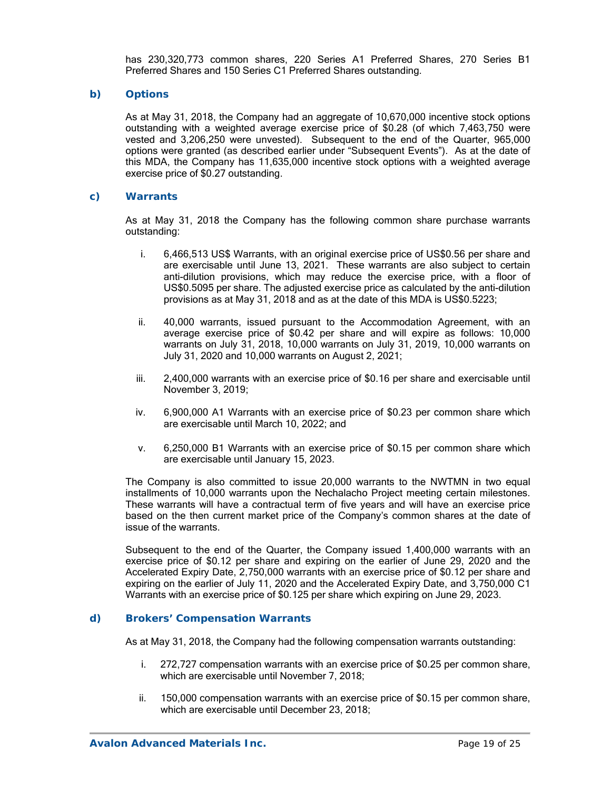has 230,320,773 common shares, 220 Series A1 Preferred Shares, 270 Series B1 Preferred Shares and 150 Series C1 Preferred Shares outstanding.

### *b) Options*

As at May 31, 2018, the Company had an aggregate of 10,670,000 incentive stock options outstanding with a weighted average exercise price of \$0.28 (of which 7,463,750 were vested and 3,206,250 were unvested). Subsequent to the end of the Quarter, 965,000 options were granted (as described earlier under "Subsequent Events"). As at the date of this MDA, the Company has 11,635,000 incentive stock options with a weighted average exercise price of \$0.27 outstanding.

### *c) Warrants*

As at May 31, 2018 the Company has the following common share purchase warrants outstanding:

- i. 6,466,513 US\$ Warrants, with an original exercise price of US\$0.56 per share and are exercisable until June 13, 2021. These warrants are also subject to certain anti-dilution provisions, which may reduce the exercise price, with a floor of US\$0.5095 per share. The adjusted exercise price as calculated by the anti-dilution provisions as at May 31, 2018 and as at the date of this MDA is US\$0.5223;
- ii. 40,000 warrants, issued pursuant to the Accommodation Agreement, with an average exercise price of \$0.42 per share and will expire as follows: 10,000 warrants on July 31, 2018, 10,000 warrants on July 31, 2019, 10,000 warrants on July 31, 2020 and 10,000 warrants on August 2, 2021;
- iii. 2,400,000 warrants with an exercise price of \$0.16 per share and exercisable until November 3, 2019;
- iv. 6,900,000 A1 Warrants with an exercise price of \$0.23 per common share which are exercisable until March 10, 2022; and
- v. 6,250,000 B1 Warrants with an exercise price of \$0.15 per common share which are exercisable until January 15, 2023.

The Company is also committed to issue 20,000 warrants to the NWTMN in two equal installments of 10,000 warrants upon the Nechalacho Project meeting certain milestones. These warrants will have a contractual term of five years and will have an exercise price based on the then current market price of the Company's common shares at the date of issue of the warrants.

Subsequent to the end of the Quarter, the Company issued 1,400,000 warrants with an exercise price of \$0.12 per share and expiring on the earlier of June 29, 2020 and the Accelerated Expiry Date, 2,750,000 warrants with an exercise price of \$0.12 per share and expiring on the earlier of July 11, 2020 and the Accelerated Expiry Date, and 3,750,000 C1 Warrants with an exercise price of \$0.125 per share which expiring on June 29, 2023.

### *d) Brokers' Compensation Warrants*

As at May 31, 2018, the Company had the following compensation warrants outstanding:

- i. 272,727 compensation warrants with an exercise price of \$0.25 per common share, which are exercisable until November 7, 2018;
- ii. 150,000 compensation warrants with an exercise price of \$0.15 per common share, which are exercisable until December 23, 2018;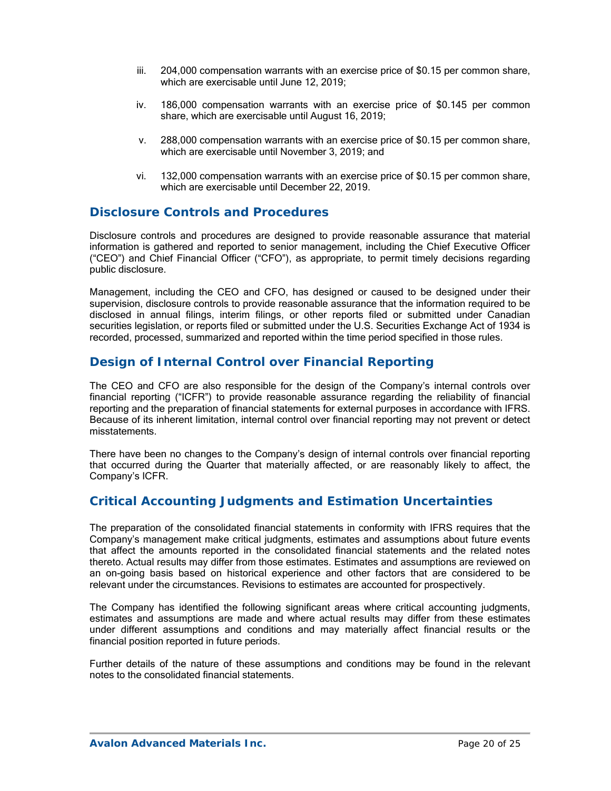- iii. 204,000 compensation warrants with an exercise price of \$0.15 per common share, which are exercisable until June 12, 2019;
- iv. 186,000 compensation warrants with an exercise price of \$0.145 per common share, which are exercisable until August 16, 2019;
- v. 288,000 compensation warrants with an exercise price of \$0.15 per common share, which are exercisable until November 3, 2019; and
- vi. 132,000 compensation warrants with an exercise price of \$0.15 per common share, which are exercisable until December 22, 2019.

## **Disclosure Controls and Procedures**

Disclosure controls and procedures are designed to provide reasonable assurance that material information is gathered and reported to senior management, including the Chief Executive Officer ("CEO") and Chief Financial Officer ("CFO"), as appropriate, to permit timely decisions regarding public disclosure.

Management, including the CEO and CFO, has designed or caused to be designed under their supervision, disclosure controls to provide reasonable assurance that the information required to be disclosed in annual filings, interim filings, or other reports filed or submitted under Canadian securities legislation, or reports filed or submitted under the U.S. Securities Exchange Act of 1934 is recorded, processed, summarized and reported within the time period specified in those rules.

# **Design of Internal Control over Financial Reporting**

The CEO and CFO are also responsible for the design of the Company's internal controls over financial reporting ("ICFR") to provide reasonable assurance regarding the reliability of financial reporting and the preparation of financial statements for external purposes in accordance with IFRS. Because of its inherent limitation, internal control over financial reporting may not prevent or detect misstatements.

There have been no changes to the Company's design of internal controls over financial reporting that occurred during the Quarter that materially affected, or are reasonably likely to affect, the Company's ICFR.

# **Critical Accounting Judgments and Estimation Uncertainties**

The preparation of the consolidated financial statements in conformity with IFRS requires that the Company's management make critical judgments, estimates and assumptions about future events that affect the amounts reported in the consolidated financial statements and the related notes thereto. Actual results may differ from those estimates. Estimates and assumptions are reviewed on an on-going basis based on historical experience and other factors that are considered to be relevant under the circumstances. Revisions to estimates are accounted for prospectively.

The Company has identified the following significant areas where critical accounting judgments, estimates and assumptions are made and where actual results may differ from these estimates under different assumptions and conditions and may materially affect financial results or the financial position reported in future periods.

Further details of the nature of these assumptions and conditions may be found in the relevant notes to the consolidated financial statements.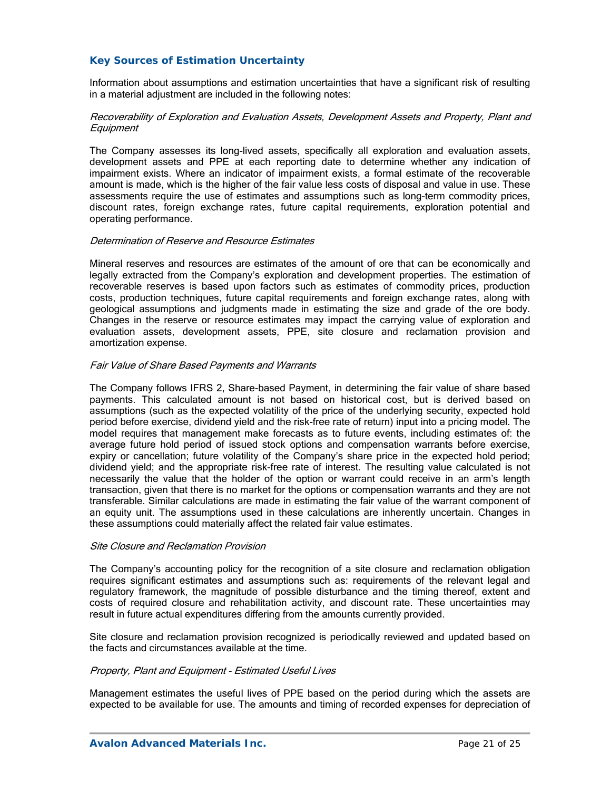### *Key Sources of Estimation Uncertainty*

Information about assumptions and estimation uncertainties that have a significant risk of resulting in a material adjustment are included in the following notes:

### Recoverability of Exploration and Evaluation Assets, Development Assets and Property, Plant and Equipment

The Company assesses its long-lived assets, specifically all exploration and evaluation assets, development assets and PPE at each reporting date to determine whether any indication of impairment exists. Where an indicator of impairment exists, a formal estimate of the recoverable amount is made, which is the higher of the fair value less costs of disposal and value in use. These assessments require the use of estimates and assumptions such as long-term commodity prices, discount rates, foreign exchange rates, future capital requirements, exploration potential and operating performance.

### Determination of Reserve and Resource Estimates

Mineral reserves and resources are estimates of the amount of ore that can be economically and legally extracted from the Company's exploration and development properties. The estimation of recoverable reserves is based upon factors such as estimates of commodity prices, production costs, production techniques, future capital requirements and foreign exchange rates, along with geological assumptions and judgments made in estimating the size and grade of the ore body. Changes in the reserve or resource estimates may impact the carrying value of exploration and evaluation assets, development assets, PPE, site closure and reclamation provision and amortization expense.

### Fair Value of Share Based Payments and Warrants

The Company follows IFRS 2, Share-based Payment, in determining the fair value of share based payments. This calculated amount is not based on historical cost, but is derived based on assumptions (such as the expected volatility of the price of the underlying security, expected hold period before exercise, dividend yield and the risk-free rate of return) input into a pricing model. The model requires that management make forecasts as to future events, including estimates of: the average future hold period of issued stock options and compensation warrants before exercise, expiry or cancellation; future volatility of the Company's share price in the expected hold period; dividend yield; and the appropriate risk-free rate of interest. The resulting value calculated is not necessarily the value that the holder of the option or warrant could receive in an arm's length transaction, given that there is no market for the options or compensation warrants and they are not transferable. Similar calculations are made in estimating the fair value of the warrant component of an equity unit. The assumptions used in these calculations are inherently uncertain. Changes in these assumptions could materially affect the related fair value estimates.

### Site Closure and Reclamation Provision

The Company's accounting policy for the recognition of a site closure and reclamation obligation requires significant estimates and assumptions such as: requirements of the relevant legal and regulatory framework, the magnitude of possible disturbance and the timing thereof, extent and costs of required closure and rehabilitation activity, and discount rate. These uncertainties may result in future actual expenditures differing from the amounts currently provided.

Site closure and reclamation provision recognized is periodically reviewed and updated based on the facts and circumstances available at the time.

### Property, Plant and Equipment - Estimated Useful Lives

Management estimates the useful lives of PPE based on the period during which the assets are expected to be available for use. The amounts and timing of recorded expenses for depreciation of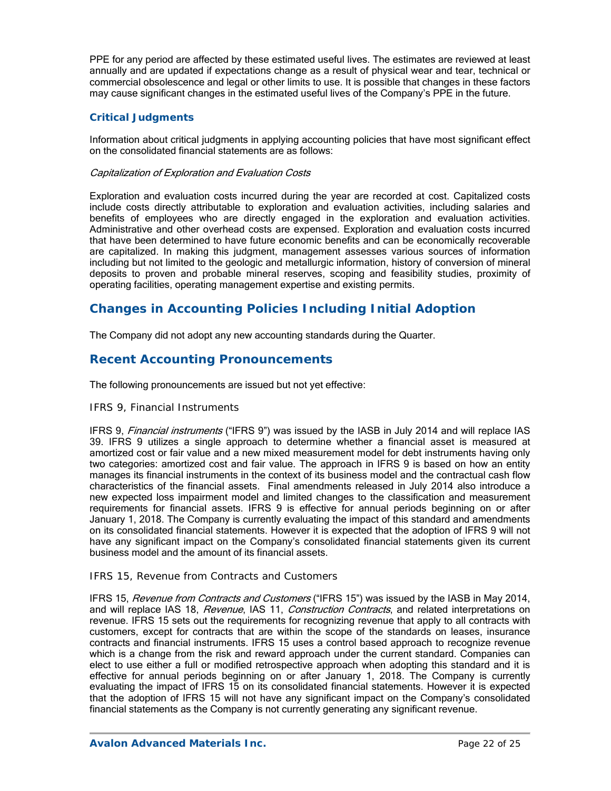PPE for any period are affected by these estimated useful lives. The estimates are reviewed at least annually and are updated if expectations change as a result of physical wear and tear, technical or commercial obsolescence and legal or other limits to use. It is possible that changes in these factors may cause significant changes in the estimated useful lives of the Company's PPE in the future.

### *Critical Judgments*

Information about critical judgments in applying accounting policies that have most significant effect on the consolidated financial statements are as follows:

### Capitalization of Exploration and Evaluation Costs

Exploration and evaluation costs incurred during the year are recorded at cost. Capitalized costs include costs directly attributable to exploration and evaluation activities, including salaries and benefits of employees who are directly engaged in the exploration and evaluation activities. Administrative and other overhead costs are expensed. Exploration and evaluation costs incurred that have been determined to have future economic benefits and can be economically recoverable are capitalized. In making this judgment, management assesses various sources of information including but not limited to the geologic and metallurgic information, history of conversion of mineral deposits to proven and probable mineral reserves, scoping and feasibility studies, proximity of operating facilities, operating management expertise and existing permits.

# **Changes in Accounting Policies Including Initial Adoption**

The Company did not adopt any new accounting standards during the Quarter.

# **Recent Accounting Pronouncements**

The following pronouncements are issued but not yet effective:

### *IFRS 9, Financial Instruments*

IFRS 9, *Financial instruments* ("IFRS 9") was issued by the IASB in July 2014 and will replace IAS 39. IFRS 9 utilizes a single approach to determine whether a financial asset is measured at amortized cost or fair value and a new mixed measurement model for debt instruments having only two categories: amortized cost and fair value. The approach in IFRS 9 is based on how an entity manages its financial instruments in the context of its business model and the contractual cash flow characteristics of the financial assets. Final amendments released in July 2014 also introduce a new expected loss impairment model and limited changes to the classification and measurement requirements for financial assets. IFRS 9 is effective for annual periods beginning on or after January 1, 2018. The Company is currently evaluating the impact of this standard and amendments on its consolidated financial statements. However it is expected that the adoption of IFRS 9 will not have any significant impact on the Company's consolidated financial statements given its current business model and the amount of its financial assets.

### *IFRS 15, Revenue from Contracts and Customers*

IFRS 15, Revenue from Contracts and Customers ("IFRS 15") was issued by the IASB in May 2014, and will replace IAS 18, Revenue, IAS 11, Construction Contracts, and related interpretations on revenue. IFRS 15 sets out the requirements for recognizing revenue that apply to all contracts with customers, except for contracts that are within the scope of the standards on leases, insurance contracts and financial instruments. IFRS 15 uses a control based approach to recognize revenue which is a change from the risk and reward approach under the current standard. Companies can elect to use either a full or modified retrospective approach when adopting this standard and it is effective for annual periods beginning on or after January 1, 2018. The Company is currently evaluating the impact of IFRS 15 on its consolidated financial statements. However it is expected that the adoption of IFRS 15 will not have any significant impact on the Company's consolidated financial statements as the Company is not currently generating any significant revenue.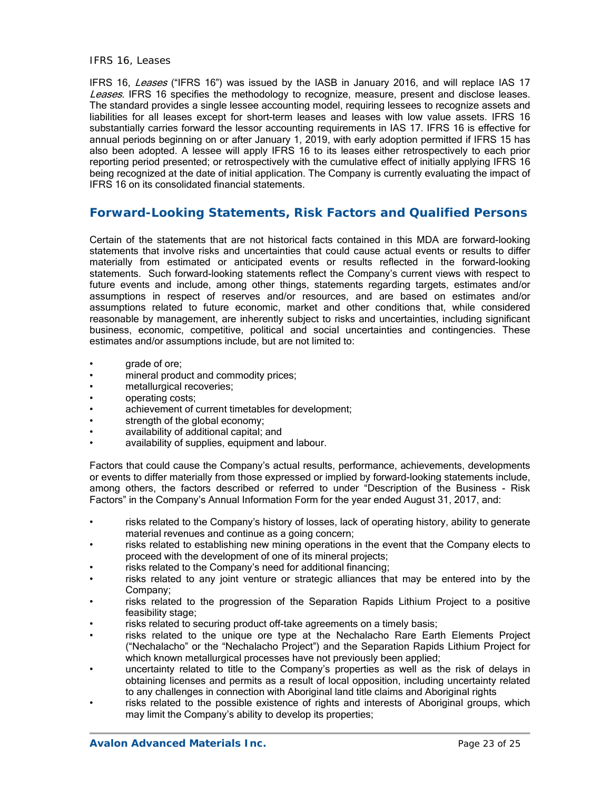#### *IFRS 16, Leases*

IFRS 16, Leases ("IFRS 16") was issued by the IASB in January 2016, and will replace IAS 17 Leases. IFRS 16 specifies the methodology to recognize, measure, present and disclose leases. The standard provides a single lessee accounting model, requiring lessees to recognize assets and liabilities for all leases except for short-term leases and leases with low value assets. IFRS 16 substantially carries forward the lessor accounting requirements in IAS 17. IFRS 16 is effective for annual periods beginning on or after January 1, 2019, with early adoption permitted if IFRS 15 has also been adopted. A lessee will apply IFRS 16 to its leases either retrospectively to each prior reporting period presented; or retrospectively with the cumulative effect of initially applying IFRS 16 being recognized at the date of initial application. The Company is currently evaluating the impact of IFRS 16 on its consolidated financial statements.

# **Forward-Looking Statements, Risk Factors and Qualified Persons**

Certain of the statements that are not historical facts contained in this MDA are forward-looking statements that involve risks and uncertainties that could cause actual events or results to differ materially from estimated or anticipated events or results reflected in the forward-looking statements. Such forward-looking statements reflect the Company's current views with respect to future events and include, among other things, statements regarding targets, estimates and/or assumptions in respect of reserves and/or resources, and are based on estimates and/or assumptions related to future economic, market and other conditions that, while considered reasonable by management, are inherently subject to risks and uncertainties, including significant business, economic, competitive, political and social uncertainties and contingencies. These estimates and/or assumptions include, but are not limited to:

- grade of ore;
- mineral product and commodity prices;
- metallurgical recoveries;
- operating costs;
- achievement of current timetables for development;
- strength of the global economy;
- availability of additional capital; and
- availability of supplies, equipment and labour.

Factors that could cause the Company's actual results, performance, achievements, developments or events to differ materially from those expressed or implied by forward-looking statements include, among others, the factors described or referred to under "Description of the Business - Risk Factors" in the Company's Annual Information Form for the year ended August 31, 2017, and:

- risks related to the Company's history of losses, lack of operating history, ability to generate material revenues and continue as a going concern;
- risks related to establishing new mining operations in the event that the Company elects to proceed with the development of one of its mineral projects;
- risks related to the Company's need for additional financing;
- risks related to any joint venture or strategic alliances that may be entered into by the Company;
- risks related to the progression of the Separation Rapids Lithium Project to a positive feasibility stage;
- risks related to securing product off-take agreements on a timely basis;
- risks related to the unique ore type at the Nechalacho Rare Earth Elements Project ("Nechalacho" or the "Nechalacho Project") and the Separation Rapids Lithium Project for which known metallurgical processes have not previously been applied;
- uncertainty related to title to the Company's properties as well as the risk of delays in obtaining licenses and permits as a result of local opposition, including uncertainty related to any challenges in connection with Aboriginal land title claims and Aboriginal rights
- risks related to the possible existence of rights and interests of Aboriginal groups, which may limit the Company's ability to develop its properties;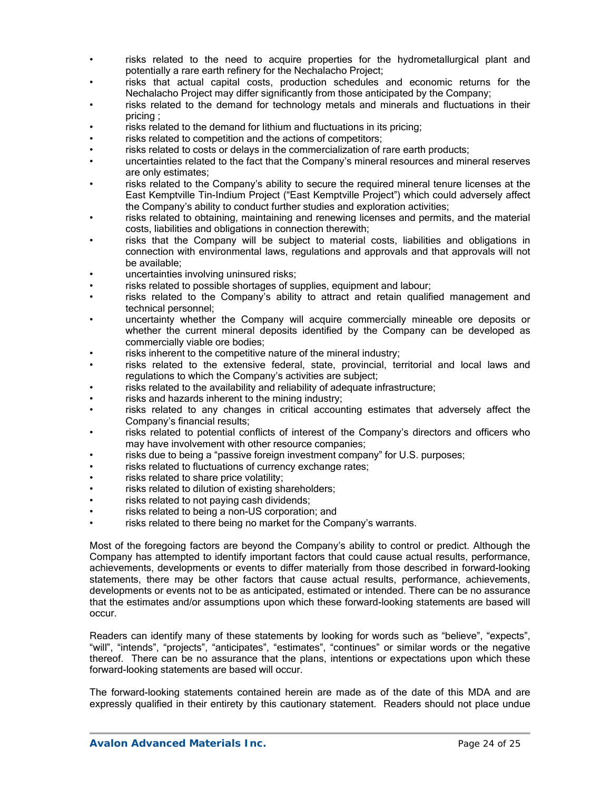- risks related to the need to acquire properties for the hydrometallurgical plant and potentially a rare earth refinery for the Nechalacho Project;
- risks that actual capital costs, production schedules and economic returns for the Nechalacho Project may differ significantly from those anticipated by the Company;
- risks related to the demand for technology metals and minerals and fluctuations in their pricing ;
- risks related to the demand for lithium and fluctuations in its pricing;
- risks related to competition and the actions of competitors;
- risks related to costs or delays in the commercialization of rare earth products;
- uncertainties related to the fact that the Company's mineral resources and mineral reserves are only estimates;
- risks related to the Company's ability to secure the required mineral tenure licenses at the East Kemptville Tin-Indium Project ("East Kemptville Project") which could adversely affect the Company's ability to conduct further studies and exploration activities;
- risks related to obtaining, maintaining and renewing licenses and permits, and the material costs, liabilities and obligations in connection therewith;
- risks that the Company will be subject to material costs, liabilities and obligations in connection with environmental laws, regulations and approvals and that approvals will not be available;
- uncertainties involving uninsured risks;
- risks related to possible shortages of supplies, equipment and labour;
- risks related to the Company's ability to attract and retain qualified management and technical personnel;
- uncertainty whether the Company will acquire commercially mineable ore deposits or whether the current mineral deposits identified by the Company can be developed as commercially viable ore bodies;
- risks inherent to the competitive nature of the mineral industry:
- risks related to the extensive federal, state, provincial, territorial and local laws and regulations to which the Company's activities are subject;
- risks related to the availability and reliability of adequate infrastructure;
- risks and hazards inherent to the mining industry;
- risks related to any changes in critical accounting estimates that adversely affect the Company's financial results;
- risks related to potential conflicts of interest of the Company's directors and officers who may have involvement with other resource companies;
- risks due to being a "passive foreign investment company" for U.S. purposes;
- risks related to fluctuations of currency exchange rates;
- risks related to share price volatility;
- risks related to dilution of existing shareholders;
- risks related to not paying cash dividends;
- risks related to being a non-US corporation; and
- risks related to there being no market for the Company's warrants.

Most of the foregoing factors are beyond the Company's ability to control or predict. Although the Company has attempted to identify important factors that could cause actual results, performance, achievements, developments or events to differ materially from those described in forward-looking statements, there may be other factors that cause actual results, performance, achievements, developments or events not to be as anticipated, estimated or intended. There can be no assurance that the estimates and/or assumptions upon which these forward-looking statements are based will occur.

Readers can identify many of these statements by looking for words such as "believe", "expects", "will", "intends", "projects", "anticipates", "estimates", "continues" or similar words or the negative thereof. There can be no assurance that the plans, intentions or expectations upon which these forward-looking statements are based will occur.

The forward-looking statements contained herein are made as of the date of this MDA and are expressly qualified in their entirety by this cautionary statement. Readers should not place undue